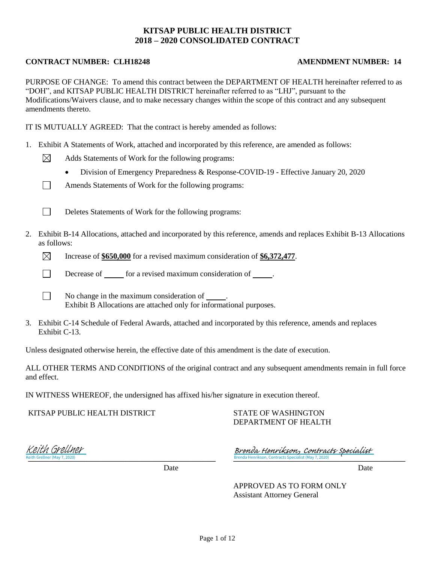### **KITSAP PUBLIC HEALTH DISTRICT 2018 – 2020 CONSOLIDATED CONTRACT**

### **CONTRACT NUMBER: CLH18248 AMENDMENT NUMBER: 14**

⊠

 $\Box$ 

 $\Box$ 

PURPOSE OF CHANGE: To amend this contract between the DEPARTMENT OF HEALTH hereinafter referred to as "DOH", and KITSAP PUBLIC HEALTH DISTRICT hereinafter referred to as "LHJ", pursuant to the Modifications/Waivers clause, and to make necessary changes within the scope of this contract and any subsequent amendments thereto.

IT IS MUTUALLY AGREED: That the contract is hereby amended as follows:

- 1. Exhibit A Statements of Work, attached and incorporated by this reference, are amended as follows:
	- Adds Statements of Work for the following programs:
		- Division of Emergency Preparedness & Response-COVID-19 Effective January 20, 2020
	- Amends Statements of Work for the following programs:
	- $\Box$ Deletes Statements of Work for the following programs:
- 2. Exhibit B-14 Allocations, attached and incorporated by this reference, amends and replaces Exhibit B-13 Allocations as follows:
	- $\boxtimes$ Increase of **\$650,000** for a revised maximum consideration of **\$6,372,477**.
	- $\Box$ Decrease of for a revised maximum consideration of .
		- No change in the maximum consideration of . Exhibit B Allocations are attached only for informational purposes.
- 3. Exhibit C-14 Schedule of Federal Awards, attached and incorporated by this reference, amends and replaces Exhibit C-13.

Unless designated otherwise herein, the effective date of this amendment is the date of execution.

ALL OTHER TERMS AND CONDITIONS of the original contract and any subsequent amendments remain in full force and effect.

IN WITNESS WHEREOF, the undersigned has affixed his/her signature in execution thereof.

KITSAP PUBLIC HEALTH DISTRICT

STATE OF WASHINGTON DEPARTMENT OF HEALTH

eith Grellner (May 7, 2020) Keith Grellner (May 7, 2020) Keith Grellner

Brenda Henrikson, Contracts Specialist (May 7, 2020) Brenda Henrikson, Contracts Specialist (May 7, 2020) [Brenda Henrikson, Contracts Specialist](https://washingtondoh.na2.echosign.com/verifier?tx=CBJCHBCAABAA5CdcXWSDnMDCgK1ZyOiJOwsjarmjPYCS)

Date Date Date

APPROVED AS TO FORM ONLY Assistant Attorney General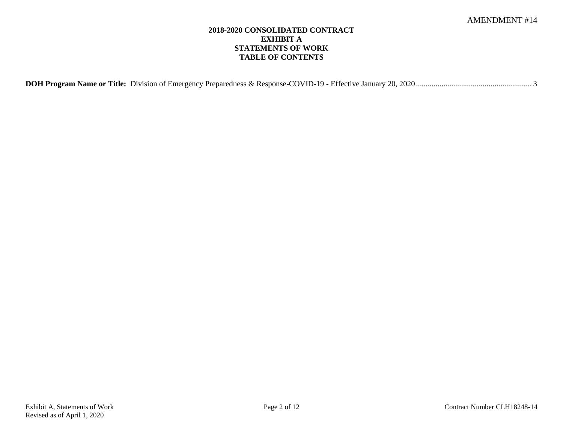### **2018-2020 CONSOLIDATED CONTRACT EXHIBIT A STATEMENTS OF WORK TABLE OF CONTENTS**

|--|--|--|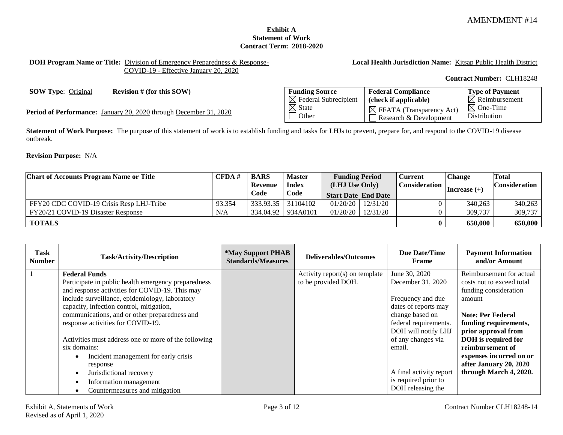### **Exhibit A Statement of Work Contract Term: 2018-2020**

<span id="page-2-0"></span>**DOH Program Name or Title:** Division of Emergency Preparedness & Response-COVID-19 - Effective January 20, 2020

### **Local Health Jurisdiction Name:** Kitsap Public Health District

**Contract Number:** CLH18248

**SOW Type:** Original **Revision # (for this SOW)** 

Period of Performance: January 20, 2020 through December 31, 2020

| <b>Funding Source</b>            | <b>Federal Compliance</b>                                      | <b>Type of Payment</b>                      |
|----------------------------------|----------------------------------------------------------------|---------------------------------------------|
| $\boxtimes$ Federal Subrecipient | (check if applicable)                                          | $\boxtimes$ Reimbursement                   |
| $\boxtimes$ State<br>l Other     | $\boxtimes$ FFATA (Transparency Act)<br>Research & Development | $\boxtimes$ One-Time<br><b>Distribution</b> |

**Statement of Work Purpose:** The purpose of this statement of work is to establish funding and tasks for LHJs to prevent, prepare for, and respond to the COVID-19 disease outbreak.

**Revision Purpose:** N/A

| <b>Chart of Accounts Program Name or Title</b> | CFDA#  | <b>BARS</b> | <b>Master</b>      | <b>Funding Period</b>      |                         | <b>Current</b> | <b>Change</b>   | Total                |
|------------------------------------------------|--------|-------------|--------------------|----------------------------|-------------------------|----------------|-----------------|----------------------|
|                                                |        | Revenue     | <b>Index</b>       | (LHJ Use Only)             |                         | Consideration  | $ Increase (+)$ | <b>Consideration</b> |
|                                                |        | Code        | Code               | <b>Start Date End Date</b> |                         |                |                 |                      |
| FFY20 CDC COVID-19 Crisis Resp LHJ-Tribe       | 93.354 |             | 333.93.35 31104102 |                            | $01/20/20$   $12/31/20$ |                | 340,263         | 340.263              |
| FY20/21 COVID-19 Disaster Response             | N/A    |             | 334,04.92 934A0101 |                            | $01/20/20$   $12/31/20$ |                | 309,737         | 309,737              |
| <b>TOTALS</b>                                  |        |             |                    |                            |                         | $\bf{0}$       | 650,000         | 650,000              |

| Task<br><b>Number</b>             | <b>Task/Activity/Description</b>                                                                      | <i><b>*May Support PHAB</b></i><br><b>Standards/Measures</b> | <b>Deliverables/Outcomes</b>                             | <b>Due Date/Time</b><br>Frame             | <b>Payment Information</b><br>and/or Amount           |
|-----------------------------------|-------------------------------------------------------------------------------------------------------|--------------------------------------------------------------|----------------------------------------------------------|-------------------------------------------|-------------------------------------------------------|
|                                   | <b>Federal Funds</b>                                                                                  |                                                              | Activity report $(s)$ on template<br>to be provided DOH. | June 30, 2020<br>December 31, 2020        | Reimbursement for actual<br>costs not to exceed total |
|                                   | Participate in public health emergency preparedness<br>and response activities for COVID-19. This may |                                                              |                                                          |                                           | funding consideration                                 |
|                                   | include surveillance, epidemiology, laboratory                                                        |                                                              |                                                          | Frequency and due                         | amount                                                |
|                                   | capacity, infection control, mitigation,<br>communications, and or other preparedness and             |                                                              |                                                          | dates of reports may<br>change based on   | <b>Note: Per Federal</b>                              |
| response activities for COVID-19. |                                                                                                       |                                                              |                                                          | federal requirements.                     | funding requirements,                                 |
|                                   | Activities must address one or more of the following                                                  |                                                              |                                                          | DOH will notify LHJ<br>of any changes via | prior approval from<br>DOH is required for            |
|                                   | six domains:                                                                                          |                                                              |                                                          | email.                                    | reimbursement of                                      |
|                                   | Incident management for early crisis                                                                  |                                                              |                                                          |                                           | expenses incurred on or                               |
|                                   | response<br>Jurisdictional recovery<br>$\bullet$                                                      |                                                              |                                                          | A final activity report                   | after January 20, 2020<br>through March 4, 2020.      |
|                                   | Information management<br>$\bullet$                                                                   |                                                              |                                                          | is required prior to                      |                                                       |
|                                   | Countermeasures and mitigation                                                                        |                                                              |                                                          | DOH releasing the                         |                                                       |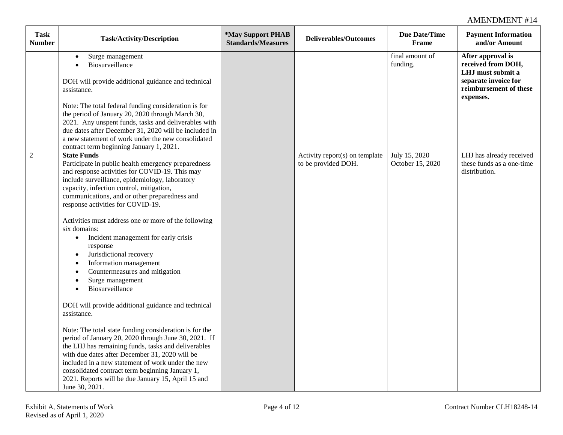| <b>Task</b><br><b>Number</b> | <b>Task/Activity/Description</b>                                                                                                                                                                                                                                                                                                                                                                                                                                                                                                                                                                                                                                                                                                                                                                                                                                                                                                                                                                                                                                                                                                        | *May Support PHAB<br><b>Standards/Measures</b> | <b>Deliverables/Outcomes</b>                          | <b>Due Date/Time</b><br><b>Frame</b> | <b>Payment Information</b><br>and/or Amount                                                                                 |
|------------------------------|-----------------------------------------------------------------------------------------------------------------------------------------------------------------------------------------------------------------------------------------------------------------------------------------------------------------------------------------------------------------------------------------------------------------------------------------------------------------------------------------------------------------------------------------------------------------------------------------------------------------------------------------------------------------------------------------------------------------------------------------------------------------------------------------------------------------------------------------------------------------------------------------------------------------------------------------------------------------------------------------------------------------------------------------------------------------------------------------------------------------------------------------|------------------------------------------------|-------------------------------------------------------|--------------------------------------|-----------------------------------------------------------------------------------------------------------------------------|
|                              | Surge management<br>$\bullet$<br>Biosurveillance<br>$\bullet$<br>DOH will provide additional guidance and technical<br>assistance.<br>Note: The total federal funding consideration is for<br>the period of January 20, 2020 through March 30,<br>2021. Any unspent funds, tasks and deliverables with<br>due dates after December 31, 2020 will be included in<br>a new statement of work under the new consolidated<br>contract term beginning January 1, 2021.                                                                                                                                                                                                                                                                                                                                                                                                                                                                                                                                                                                                                                                                       |                                                |                                                       | final amount of<br>funding.          | After approval is<br>received from DOH,<br>LHJ must submit a<br>separate invoice for<br>reimbursement of these<br>expenses. |
| $\mathfrak{2}$               | <b>State Funds</b><br>Participate in public health emergency preparedness<br>and response activities for COVID-19. This may<br>include surveillance, epidemiology, laboratory<br>capacity, infection control, mitigation,<br>communications, and or other preparedness and<br>response activities for COVID-19.<br>Activities must address one or more of the following<br>six domains:<br>Incident management for early crisis<br>$\bullet$<br>response<br>Jurisdictional recovery<br>$\bullet$<br>Information management<br>$\bullet$<br>Countermeasures and mitigation<br>$\bullet$<br>Surge management<br>$\bullet$<br>Biosurveillance<br>$\bullet$<br>DOH will provide additional guidance and technical<br>assistance.<br>Note: The total state funding consideration is for the<br>period of January 20, 2020 through June 30, 2021. If<br>the LHJ has remaining funds, tasks and deliverables<br>with due dates after December 31, 2020 will be<br>included in a new statement of work under the new<br>consolidated contract term beginning January 1,<br>2021. Reports will be due January 15, April 15 and<br>June 30, 2021. |                                                | Activity report(s) on template<br>to be provided DOH. | July 15, 2020<br>October 15, 2020    | LHJ has already received<br>these funds as a one-time<br>distribution.                                                      |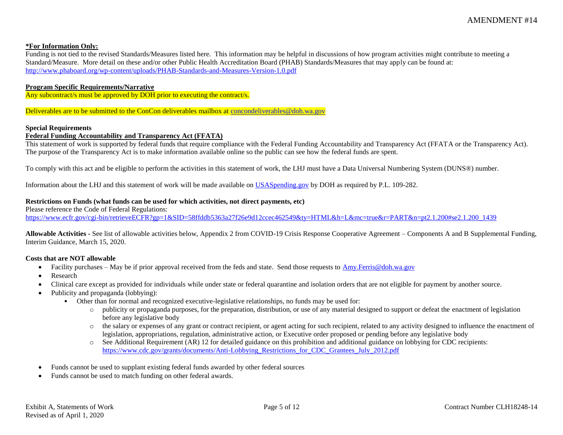#### **\*For Information Only:**

Funding is not tied to the revised Standards/Measures listed here. This information may be helpful in discussions of how program activities might contribute to meeting a Standard/Measure. More detail on these and/or other Public Health Accreditation Board (PHAB) Standards/Measures that may apply can be found at: <http://www.phaboard.org/wp-content/uploads/PHAB-Standards-and-Measures-Version-1.0.pdf>

#### **Program Specific Requirements/Narrative**

Any subcontract/s must be approved by DOH prior to executing the contract/s.

Deliverables are to be submitted to the ConCon deliverables mailbox at [concondeliverables@doh.wa.gov](mailto:concondeliverables@doh.wa.gov)

#### **Special Requirements**

#### **Federal Funding Accountability and Transparency Act (FFATA)**

This statement of work is supported by federal funds that require compliance with the Federal Funding Accountability and Transparency Act (FFATA or the Transparency Act). The purpose of the Transparency Act is to make information available online so the public can see how the federal funds are spent.

To comply with this act and be eligible to perform the activities in this statement of work, the LHJ must have a Data Universal Numbering System (DUNS®) number.

Information about the LHJ and this statement of work will be made available on [USASpending.gov](https://www.usaspending.gov/#/) by DOH as required by P.L. 109-282.

#### **Restrictions on Funds (what funds can be used for which activities, not direct payments, etc)**

Please reference the Code of Federal Regulations:

[https://www.ecfr.gov/cgi-bin/retrieveECFR?gp=1&SID=58ffddb5363a27f26e9d12ccec462549&ty=HTML&h=L&mc=true&r=PART&n=pt2.1.200#se2.1.200\\_1439](https://www.ecfr.gov/cgi-bin/retrieveECFR?gp=1&SID=58ffddb5363a27f26e9d12ccec462549&ty=HTML&h=L&mc=true&r=PART&n=pt2.1.200#se2.1.200_1439)

**Allowable Activities -** See list of allowable activities below, Appendix 2 from COVID-19 Crisis Response Cooperative Agreement – Components A and B Supplemental Funding, Interim Guidance, March 15, 2020.

#### **Costs that are NOT allowable**

- Facility purchases May be if prior approval received from the feds and state. Send those requests to [Amy.Ferris@doh.wa.gov](mailto:Amy.Ferris@doh.wa.gov)
- Research
- Clinical care except as provided for individuals while under state or federal quarantine and isolation orders that are not eligible for payment by another source.
- Publicity and propaganda (lobbying):
	- Other than for normal and recognized executive-legislative relationships, no funds may be used for:
		- o publicity or propaganda purposes, for the preparation, distribution, or use of any material designed to support or defeat the enactment of legislation before any legislative body
		- $\circ$  the salary or expenses of any grant or contract recipient, or agent acting for such recipient, related to any activity designed to influence the enactment of legislation, appropriations, regulation, administrative action, or Executive order proposed or pending before any legislative body
		- o See Additional Requirement (AR) 12 for detailed guidance on this prohibition and additional guidance on lobbying for CDC recipients: [https://www.cdc.gov/grants/documents/Anti-Lobbying\\_Restrictions\\_for\\_CDC\\_Grantees\\_July\\_2012.pdf](https://www.cdc.gov/grants/documents/Anti-Lobbying_Restrictions_for_CDC_Grantees_July_2012.pdf)
- Funds cannot be used to supplant existing federal funds awarded by other federal sources
- Funds cannot be used to match funding on other federal awards.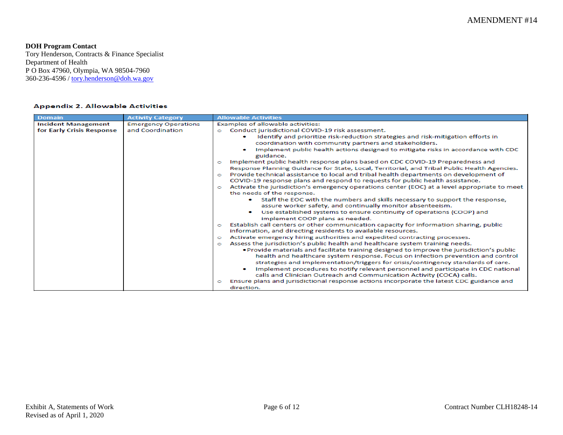### **DOH Program Contact**

Tory Henderson, Contracts & Finance Specialist Department of Health P O Box 47960, Olympia, WA 98504-7960 360-236-4596 / <u>tory.henderson@doh.wa.gov</u>

#### **Appendix 2. Allowable Activities**

| <b>Domain</b>              | <b>Activity Category</b>    | <b>Allowable Activities</b>                                                                                                                                       |
|----------------------------|-----------------------------|-------------------------------------------------------------------------------------------------------------------------------------------------------------------|
| <b>Incident Management</b> | <b>Emergency Operations</b> | Examples of allowable activities:                                                                                                                                 |
| for Early Crisis Response  | and Coordination            | Conduct jurisdictional COVID-19 risk assessment.<br>o                                                                                                             |
|                            |                             | Identify and prioritize risk-reduction strategies and risk-mitigation efforts in                                                                                  |
|                            |                             | coordination with community partners and stakeholders.                                                                                                            |
|                            |                             | Implement public health actions designed to mitigate risks in accordance with CDC<br>guidance.                                                                    |
|                            |                             | Implement public health response plans based on CDC COVID-19 Preparedness and<br>o                                                                                |
|                            |                             | Response Planning Guidance for State, Local, Territorial, and Tribal Public Health Agencies.                                                                      |
|                            |                             | Provide technical assistance to local and tribal health departments on development of<br>$\bullet$                                                                |
|                            |                             | COVID-19 response plans and respond to requests for public health assistance.                                                                                     |
|                            |                             | Activate the jurisdiction's emergency operations center (EOC) at a level appropriate to meet<br>$\bullet$                                                         |
|                            |                             | the needs of the response.                                                                                                                                        |
|                            |                             | Staff the EOC with the numbers and skills necessary to support the response,<br>assure worker safety, and continually monitor absenteeism.                        |
|                            |                             | Use established systems to ensure continuity of operations (COOP) and                                                                                             |
|                            |                             | implement COOP plans as needed.                                                                                                                                   |
|                            |                             | Establish call centers or other communication capacity for information sharing, public<br>$\circ$<br>information, and directing residents to available resources. |
|                            |                             | Activate emergency hiring authorities and expedited contracting processes.<br>$\circ$                                                                             |
|                            |                             | Assess the jurisdiction's public health and healthcare system training needs.<br>$\circ$                                                                          |
|                            |                             | . Provide materials and facilitate training designed to improve the jurisdiction's public                                                                         |
|                            |                             | health and healthcare system response. Focus on infection prevention and control                                                                                  |
|                            |                             | strategies and implementation/triggers for crisis/contingency standards of care.                                                                                  |
|                            |                             | Implement procedures to notify relevant personnel and participate in CDC national                                                                                 |
|                            |                             | calls and Clinician Outreach and Communication Activity (COCA) calls.                                                                                             |
|                            |                             | Ensure plans and jurisdictional response actions incorporate the latest CDC guidance and<br>o<br>direction.                                                       |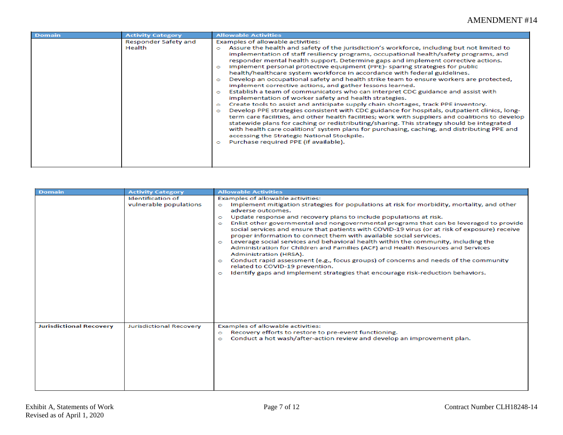| <b>Domain</b> | <b>Activity Category</b>       | <b>Allowable Activities</b>                                                                                                                                                                                                                                                                                                                                                                                                                                                                                                                                                                                                                                                                                                                                                                                                                                                                                                                                                                                                                                                                                                                                                                                                                                                                                                                                                                                          |
|---------------|--------------------------------|----------------------------------------------------------------------------------------------------------------------------------------------------------------------------------------------------------------------------------------------------------------------------------------------------------------------------------------------------------------------------------------------------------------------------------------------------------------------------------------------------------------------------------------------------------------------------------------------------------------------------------------------------------------------------------------------------------------------------------------------------------------------------------------------------------------------------------------------------------------------------------------------------------------------------------------------------------------------------------------------------------------------------------------------------------------------------------------------------------------------------------------------------------------------------------------------------------------------------------------------------------------------------------------------------------------------------------------------------------------------------------------------------------------------|
|               | Responder Safety and<br>Health | Examples of allowable activities:<br>Assure the health and safety of the jurisdiction's workforce, including but not limited to<br>implementation of staff resiliency programs, occupational health/safety programs, and<br>responder mental health support. Determine gaps and implement corrective actions.<br>Implement personal protective equipment (PPE)- sparing strategies for public<br>health/healthcare system workforce in accordance with federal guidelines.<br>Develop an occupational safety and health strike team to ensure workers are protected,<br>$\circ$<br>implement corrective actions, and gather lessons learned.<br>Establish a team of communicators who can interpret CDC guidance and assist with<br>$\circ$<br>implementation of worker safety and health strategies.<br>Create tools to assist and anticipate supply chain shortages, track PPE inventory.<br>$\circ$<br>Develop PPE strategies consistent with CDC guidance for hospitals, outpatient clinics, long-<br>$\circ$<br>term care facilities, and other health facilities; work with suppliers and coalitions to develop<br>statewide plans for caching or redistributing/sharing. This strategy should be integrated<br>with health care coalitions' system plans for purchasing, caching, and distributing PPE and<br>accessing the Strategic National Stockpile.<br>Purchase required PPE (if available).<br>$\circ$ |

| <b>Domain</b>                  | <b>Activity Category</b>                           | <b>Allowable Activities</b>                                                                                                                                                                                                                                                                                                                                                                                                                                                                                                                                                                                                                                                                                                                                                                                                                                                                                                                                                           |
|--------------------------------|----------------------------------------------------|---------------------------------------------------------------------------------------------------------------------------------------------------------------------------------------------------------------------------------------------------------------------------------------------------------------------------------------------------------------------------------------------------------------------------------------------------------------------------------------------------------------------------------------------------------------------------------------------------------------------------------------------------------------------------------------------------------------------------------------------------------------------------------------------------------------------------------------------------------------------------------------------------------------------------------------------------------------------------------------|
|                                | <b>Identification of</b><br>vulnerable populations | Examples of allowable activities:<br>Implement mitigation strategies for populations at risk for morbidity, mortality, and other<br>$\circ$<br>adverse outcomes.<br>Update response and recovery plans to include populations at risk.<br>$\circ$<br>Enlist other governmental and nongovernmental programs that can be leveraged to provide<br>$\bullet$<br>social services and ensure that patients with COVID-19 virus (or at risk of exposure) receive<br>proper information to connect them with available social services.<br>Leverage social services and behavioral health within the community, including the<br>$\bullet$<br>Administration for Children and Families (ACF) and Health Resources and Services<br>Administration (HRSA).<br>Conduct rapid assessment (e.g., focus groups) of concerns and needs of the community<br>$\circ$<br>related to COVID-19 prevention.<br>Identify gaps and implement strategies that encourage risk-reduction behaviors.<br>$\circ$ |
| <b>Jurisdictional Recovery</b> | Jurisdictional Recovery                            | Examples of allowable activities:<br>Recovery efforts to restore to pre-event functioning.<br>$\bullet$<br>Conduct a hot wash/after-action review and develop an improvement plan.                                                                                                                                                                                                                                                                                                                                                                                                                                                                                                                                                                                                                                                                                                                                                                                                    |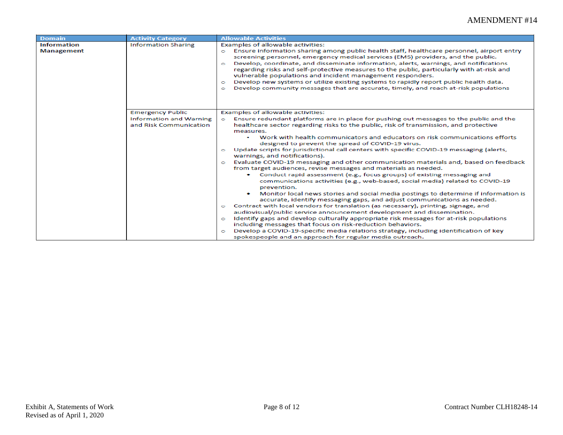| Domain                                  | <b>Activity Category</b>                                 | <b>Allowable Activities</b>                                                                                                                                                                                                                                                                                                                                                                                                                                                                                                                                                                                                                                                                      |
|-----------------------------------------|----------------------------------------------------------|--------------------------------------------------------------------------------------------------------------------------------------------------------------------------------------------------------------------------------------------------------------------------------------------------------------------------------------------------------------------------------------------------------------------------------------------------------------------------------------------------------------------------------------------------------------------------------------------------------------------------------------------------------------------------------------------------|
| <b>Information</b><br><b>Management</b> | <b>Information Sharing</b>                               | Examples of allowable activities:<br>Ensure information sharing among public health staff, healthcare personnel, airport entry<br>o<br>screening personnel, emergency medical services (EMS) providers, and the public.<br>Develop, coordinate, and disseminate information, alerts, warnings, and notifications<br>$\bullet$<br>regarding risks and self-protective measures to the public, particularly with at-risk and<br>vulnerable populations and incident management responders.<br>Develop new systems or utilize existing systems to rapidly report public health data.<br>$\circ$<br>Develop community messages that are accurate, timely, and reach at-risk populations<br>$\bullet$ |
|                                         | <b>Emergency Public</b>                                  | Examples of allowable activities:                                                                                                                                                                                                                                                                                                                                                                                                                                                                                                                                                                                                                                                                |
|                                         | <b>Information and Warning</b><br>and Risk Communication | Ensure redundant platforms are in place for pushing out messages to the public and the<br>Ō<br>healthcare sector regarding risks to the public, risk of transmission, and protective<br>measures.<br>Work with health communicators and educators on risk communications efforts<br>designed to prevent the spread of COVID-19 virus.                                                                                                                                                                                                                                                                                                                                                            |
|                                         |                                                          | Update scripts for jurisdictional call centers with specific COVID-19 messaging (alerts,<br>o<br>warnings, and notifications).                                                                                                                                                                                                                                                                                                                                                                                                                                                                                                                                                                   |
|                                         |                                                          | Evaluate COVID-19 messaging and other communication materials and, based on feedback<br>$\bullet$<br>from target audiences, revise messages and materials as needed.<br>Conduct rapid assessment (e.g., focus groups) of existing messaging and<br>communications activities (e.g., web-based, social media) related to COVID-19<br>prevention.<br>Monitor local news stories and social media postings to determine if information is<br>accurate, identify messaging gaps, and adjust communications as needed.<br>Contract with local vendors for translation (as necessary), printing, signage, and<br>$\bullet$<br>audiovisual/public service announcement development and dissemination.   |
|                                         |                                                          | Identify gaps and develop culturally appropriate risk messages for at-risk populations<br>$\bullet$<br>including messages that focus on risk-reduction behaviors.<br>Develop a COVID-19-specific media relations strategy, including identification of key<br>$\circ$<br>spokespeople and an approach for regular media outreach.                                                                                                                                                                                                                                                                                                                                                                |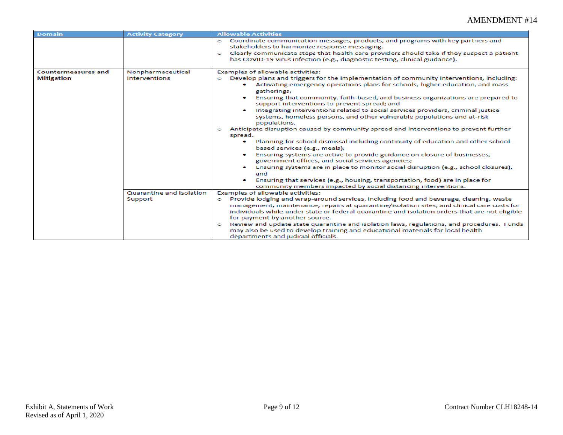| <b>Domain</b>              | <b>Activity Category</b> | <b>Allowable Activities</b>                                                                                                                                                                                                                                                                                                                                                                                                                                                                                                                                                                                                                                                                                                                                                                                                                                                                                                                                                                                                                                                                                                                                            |
|----------------------------|--------------------------|------------------------------------------------------------------------------------------------------------------------------------------------------------------------------------------------------------------------------------------------------------------------------------------------------------------------------------------------------------------------------------------------------------------------------------------------------------------------------------------------------------------------------------------------------------------------------------------------------------------------------------------------------------------------------------------------------------------------------------------------------------------------------------------------------------------------------------------------------------------------------------------------------------------------------------------------------------------------------------------------------------------------------------------------------------------------------------------------------------------------------------------------------------------------|
|                            |                          | Coordinate communication messages, products, and programs with key partners and<br>$\circ$<br>stakeholders to harmonize response messaging.<br>Clearly communicate steps that health care providers should take if they suspect a patient<br>$\circ$<br>has COVID-19 virus infection (e.g., diagnostic testing, clinical guidance).                                                                                                                                                                                                                                                                                                                                                                                                                                                                                                                                                                                                                                                                                                                                                                                                                                    |
| <b>Countermeasures and</b> | Nonpharmaceutical        | Examples of allowable activities:                                                                                                                                                                                                                                                                                                                                                                                                                                                                                                                                                                                                                                                                                                                                                                                                                                                                                                                                                                                                                                                                                                                                      |
| <b>Mitigation</b>          | Interventions            | Develop plans and triggers for the implementation of community interventions, including:<br>Ō<br>Activating emergency operations plans for schools, higher education, and mass<br>gatherings;<br>Ensuring that community, faith-based, and business organizations are prepared to<br>۰<br>support interventions to prevent spread; and<br>Integrating interventions related to social services providers, criminal justice<br>۰<br>systems, homeless persons, and other vulnerable populations and at-risk<br>populations.<br>Anticipate disruption caused by community spread and interventions to prevent further<br>$\circ$<br>spread.<br>Planning for school dismissal including continuity of education and other school-<br>۰<br>based services (e.g., meals);<br>Ensuring systems are active to provide guidance on closure of businesses,<br>۰<br>government offices, and social services agencies;<br>Ensuring systems are in place to monitor social disruption (e.g., school closures);<br>۰<br>and<br>Ensuring that services (e.g., housing, transportation, food) are in place for<br>۰<br>community members impacted by social distancing interventions. |
|                            | Quarantine and Isolation | Examples of allowable activities:                                                                                                                                                                                                                                                                                                                                                                                                                                                                                                                                                                                                                                                                                                                                                                                                                                                                                                                                                                                                                                                                                                                                      |
|                            | Support                  | Provide lodging and wrap-around services, including food and beverage, cleaning, waste<br>$\circ$<br>management, maintenance, repairs at quarantine/isolation sites, and clinical care costs for<br>individuals while under state or federal quarantine and isolation orders that are not eligible<br>for payment by another source.<br>Review and update state quarantine and isolation laws, regulations, and procedures. Funds<br>$\circ$<br>may also be used to develop training and educational materials for local health<br>departments and judicial officials.                                                                                                                                                                                                                                                                                                                                                                                                                                                                                                                                                                                                 |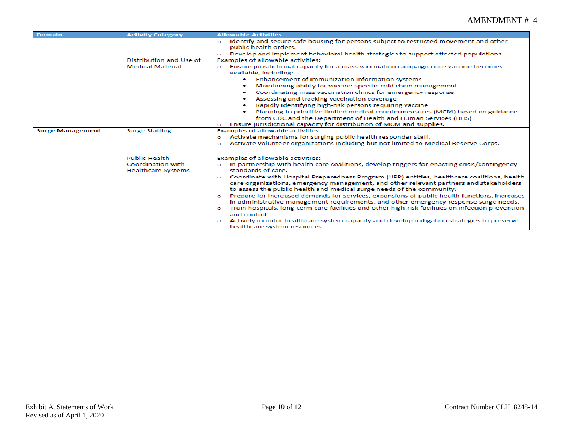| <b>Domain</b>           | <b>Activity Category</b>                       | <b>Allowable Activities</b>                                                                                                                                                                                                                                               |
|-------------------------|------------------------------------------------|---------------------------------------------------------------------------------------------------------------------------------------------------------------------------------------------------------------------------------------------------------------------------|
|                         |                                                | Identify and secure safe housing for persons subject to restricted movement and other<br>$\circ$<br>public health orders.<br>Develop and implement behavioral health strategies to support affected populations.<br>$\bullet$                                             |
|                         | Distribution and Use of                        | Examples of allowable activities:                                                                                                                                                                                                                                         |
|                         | <b>Medical Material</b>                        | Ensure jurisdictional capacity for a mass vaccination campaign once vaccine becomes<br>Ō.<br>available, including:                                                                                                                                                        |
|                         |                                                | Enhancement of immunization information systems<br>Maintaining ability for vaccine-specific cold chain management                                                                                                                                                         |
|                         |                                                | Coordinating mass vaccination clinics for emergency response                                                                                                                                                                                                              |
|                         |                                                | Assessing and tracking vaccination coverage                                                                                                                                                                                                                               |
|                         |                                                | Rapidly identifying high-risk persons requiring vaccine                                                                                                                                                                                                                   |
|                         |                                                | Planning to prioritize limited medical countermeasures (MCM) based on guidance                                                                                                                                                                                            |
|                         |                                                | from CDC and the Department of Health and Human Services (HHS)                                                                                                                                                                                                            |
|                         | <b>Surge Staffing</b>                          | Ensure jurisdictional capacity for distribution of MCM and supplies.<br>Examples of allowable activities:                                                                                                                                                                 |
| <b>Surge Management</b> |                                                | Activate mechanisms for surging public health responder staff.<br>Ō                                                                                                                                                                                                       |
|                         |                                                | Activate volunteer organizations including but not limited to Medical Reserve Corps.<br>$\circ$                                                                                                                                                                           |
|                         | <b>Public Health</b>                           | Examples of allowable activities:                                                                                                                                                                                                                                         |
|                         | Coordination with<br><b>Healthcare Systems</b> | In partnership with health care coalitions, develop triggers for enacting crisis/contingency<br>Ō<br>standards of care.                                                                                                                                                   |
|                         |                                                | Coordinate with Hospital Preparedness Program (HPP) entities, healthcare coalitions, health<br>$\circ$<br>care organizations, emergency management, and other relevant partners and stakeholders<br>to assess the public health and medical surge needs of the community. |
|                         |                                                | Prepare for increased demands for services, expansions of public health functions, increases<br>$\bullet$<br>in administrative management requirements, and other emergency response surge needs.                                                                         |
|                         |                                                | Train hospitals, long-term care facilities and other high-risk facilities on infection prevention<br>$\bullet$<br>and control.                                                                                                                                            |
|                         |                                                | Actively monitor healthcare system capacity and develop mitigation strategies to preserve<br>$\circ$<br>healthcare system resources.                                                                                                                                      |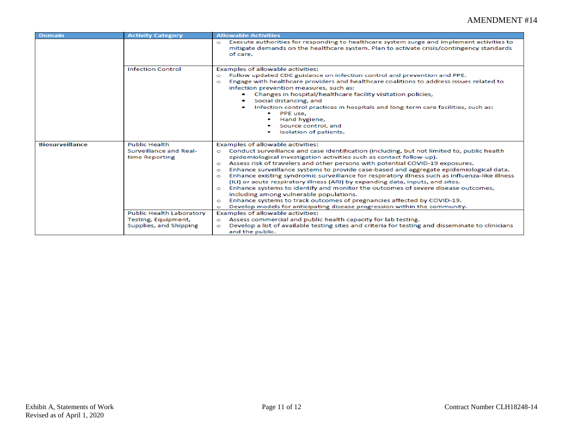| Domain                 | <b>Activity Category</b>                                                         | <b>Allowable Activities</b>                                                                                                                                                                                                                                                                                                                                                                                                                                                                                                                                                                                                                                                                                                                                                                                                                                                                                                                     |
|------------------------|----------------------------------------------------------------------------------|-------------------------------------------------------------------------------------------------------------------------------------------------------------------------------------------------------------------------------------------------------------------------------------------------------------------------------------------------------------------------------------------------------------------------------------------------------------------------------------------------------------------------------------------------------------------------------------------------------------------------------------------------------------------------------------------------------------------------------------------------------------------------------------------------------------------------------------------------------------------------------------------------------------------------------------------------|
|                        |                                                                                  | Execute authorities for responding to healthcare system surge and implement activities to<br>$\circ$<br>mitigate demands on the healthcare system. Plan to activate crisis/contingency standards<br>of care.                                                                                                                                                                                                                                                                                                                                                                                                                                                                                                                                                                                                                                                                                                                                    |
|                        | <b>Infection Control</b>                                                         | Examples of allowable activities:<br>Follow updated CDC guidance on infection control and prevention and PPE.<br>$\circ$<br>Engage with healthcare providers and healthcare coalitions to address issues related to<br>$\circ$<br>infection prevention measures, such as:<br>Changes in hospital/healthcare facility visitation policies,<br>Social distancing, and<br>Infection control practices in hospitals and long-term care facilities, such as:<br>PPE use,<br>Hand hygiene,<br>Source control, and<br>Isolation of patients.                                                                                                                                                                                                                                                                                                                                                                                                           |
| <b>Biosurveillance</b> | <b>Public Health</b><br>Surveillance and Real-<br>time Reporting                 | Examples of allowable activities:<br>Conduct surveillance and case identification (including, but not limited to, public health<br>$\bullet$<br>epidemiological investigation activities such as contact follow-up).<br>Assess risk of travelers and other persons with potential COVID-19 exposures.<br>$\circ$<br>Enhance surveillance systems to provide case-based and aggregate epidemiological data.<br>$\circ$<br>Enhance existing syndromic surveillance for respiratory illness such as influenza-like illness<br>$\circ$<br>(ILI) or acute respiratory illness (ARI) by expanding data, inputs, and sites.<br>Enhance systems to identify and monitor the outcomes of severe disease outcomes,<br>$\bullet$<br>including among vulnerable populations.<br>Enhance systems to track outcomes of pregnancies affected by COVID-19.<br>$\bullet$<br>Develop models for anticipating disease progression within the community.<br>$\circ$ |
|                        | <b>Public Health Laboratory</b><br>Testing, Equipment,<br>Supplies, and Shipping | Examples of allowable activities:<br>Assess commercial and public health capacity for lab testing.<br>$\circ$<br>Develop a list of available testing sites and criteria for testing and disseminate to clinicians<br>$\circ$<br>and the public.                                                                                                                                                                                                                                                                                                                                                                                                                                                                                                                                                                                                                                                                                                 |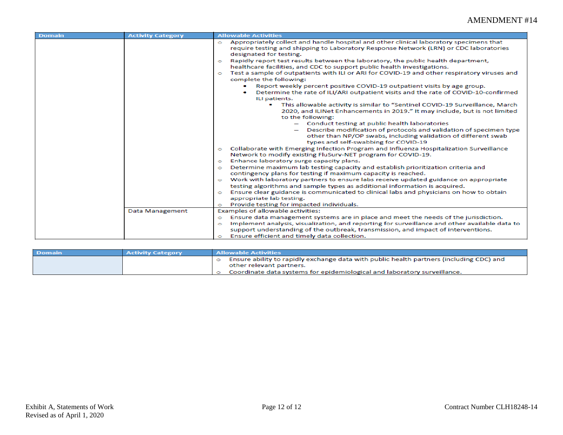| <b>Domain</b> | <b>Activity Category</b> | <b>Allowable Activities</b>                                                                                                                                                                                                                                                                                                                                                                                                                                                                                                                                                                                                                                                                                                                                                                                                                                                                                                                                                                                                                                                                                                                                                                                                                                                                                                                                                                                                                                                                                                                                                                                                                                                                                                                                                                                                                                                                                    |
|---------------|--------------------------|----------------------------------------------------------------------------------------------------------------------------------------------------------------------------------------------------------------------------------------------------------------------------------------------------------------------------------------------------------------------------------------------------------------------------------------------------------------------------------------------------------------------------------------------------------------------------------------------------------------------------------------------------------------------------------------------------------------------------------------------------------------------------------------------------------------------------------------------------------------------------------------------------------------------------------------------------------------------------------------------------------------------------------------------------------------------------------------------------------------------------------------------------------------------------------------------------------------------------------------------------------------------------------------------------------------------------------------------------------------------------------------------------------------------------------------------------------------------------------------------------------------------------------------------------------------------------------------------------------------------------------------------------------------------------------------------------------------------------------------------------------------------------------------------------------------------------------------------------------------------------------------------------------------|
|               |                          | Appropriately collect and handle hospital and other clinical laboratory specimens that<br>$\bullet$<br>require testing and shipping to Laboratory Response Network (LRN) or CDC laboratories<br>designated for testing.<br>Rapidly report test results between the laboratory, the public health department,<br>$\circ$<br>healthcare facilities, and CDC to support public health investigations.<br>Test a sample of outpatients with ILI or ARI for COVID-19 and other respiratory viruses and<br>$\circ$<br>complete the following:<br>Report weekly percent positive COVID-19 outpatient visits by age group.<br>Determine the rate of ILI/ARI outpatient visits and the rate of COVID-10-confirmed<br>ILI patients.<br>This allowable activity is similar to "Sentinel COVID-19 Surveillance, March<br>2020, and ILINet Enhancements in 2019." It may include, but is not limited<br>to the following:<br>- Conduct testing at public health laboratories<br>Describe modification of protocols and validation of specimen type<br>other than NP/OP swabs, including validation of different swab<br>types and self-swabbing for COVID-19<br>Collaborate with Emerging Infection Program and Influenza Hospitalization Surveillance<br>$\circ$<br>Network to modify existing FluSurv-NET program for COVID-19.<br>Enhance laboratory surge capacity plans.<br>$\circ$<br>Determine maximum lab testing capacity and establish prioritization criteria and<br>$\circ$<br>contingency plans for testing if maximum capacity is reached.<br>Work with laboratory partners to ensure labs receive updated guidance on appropriate<br>$\bullet$<br>testing algorithms and sample types as additional information is acquired.<br>Ensure clear guidance is communicated to clinical labs and physicians on how to obtain<br>$\bullet$<br>appropriate lab testing.<br>Provide testing for impacted individuals. |
|               | Data Management          | $\circ$<br>Examples of allowable activities:                                                                                                                                                                                                                                                                                                                                                                                                                                                                                                                                                                                                                                                                                                                                                                                                                                                                                                                                                                                                                                                                                                                                                                                                                                                                                                                                                                                                                                                                                                                                                                                                                                                                                                                                                                                                                                                                   |
|               |                          |                                                                                                                                                                                                                                                                                                                                                                                                                                                                                                                                                                                                                                                                                                                                                                                                                                                                                                                                                                                                                                                                                                                                                                                                                                                                                                                                                                                                                                                                                                                                                                                                                                                                                                                                                                                                                                                                                                                |
|               |                          | Ensure data management systems are in place and meet the needs of the jurisdiction.<br>$\bullet$<br>Implement analysis, visualization, and reporting for surveillance and other available data to                                                                                                                                                                                                                                                                                                                                                                                                                                                                                                                                                                                                                                                                                                                                                                                                                                                                                                                                                                                                                                                                                                                                                                                                                                                                                                                                                                                                                                                                                                                                                                                                                                                                                                              |
|               |                          | $\circ$<br>support understanding of the outbreak, transmission, and impact of interventions.                                                                                                                                                                                                                                                                                                                                                                                                                                                                                                                                                                                                                                                                                                                                                                                                                                                                                                                                                                                                                                                                                                                                                                                                                                                                                                                                                                                                                                                                                                                                                                                                                                                                                                                                                                                                                   |
|               |                          |                                                                                                                                                                                                                                                                                                                                                                                                                                                                                                                                                                                                                                                                                                                                                                                                                                                                                                                                                                                                                                                                                                                                                                                                                                                                                                                                                                                                                                                                                                                                                                                                                                                                                                                                                                                                                                                                                                                |
|               |                          | Ensure efficient and timely data collection.<br>$\circ$                                                                                                                                                                                                                                                                                                                                                                                                                                                                                                                                                                                                                                                                                                                                                                                                                                                                                                                                                                                                                                                                                                                                                                                                                                                                                                                                                                                                                                                                                                                                                                                                                                                                                                                                                                                                                                                        |

| <b>Domain</b> | <b>Activity Category</b> | <b>Allowable Activities</b>                                                                                         |
|---------------|--------------------------|---------------------------------------------------------------------------------------------------------------------|
|               |                          | Ensure ability to rapidly exchange data with public health partners (including CDC) and<br>other relevant partners. |
|               |                          | Coordinate data systems for epidemiological and laboratory surveillance.                                            |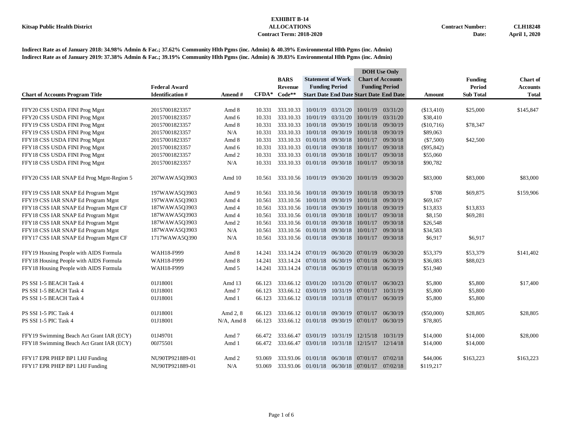|                                          |                        |                 |         |                             |                             |                       |                                                | <b>DOH</b> Use Only      |              |                  |                 |
|------------------------------------------|------------------------|-----------------|---------|-----------------------------|-----------------------------|-----------------------|------------------------------------------------|--------------------------|--------------|------------------|-----------------|
|                                          |                        |                 |         | <b>BARS</b>                 | <b>Statement of Work</b>    |                       |                                                | <b>Chart of Accounts</b> |              | <b>Funding</b>   | <b>Chart of</b> |
|                                          | <b>Federal Award</b>   |                 |         | <b>Revenue</b>              |                             | <b>Funding Period</b> |                                                | <b>Funding Period</b>    |              | <b>Period</b>    | <b>Accounts</b> |
| <b>Chart of Accounts Program Title</b>   | <b>Identification#</b> | Amend #         | $CFDA*$ | $Code**$                    |                             |                       | <b>Start Date End Date Start Date End Date</b> |                          | Amount       | <b>Sub Total</b> | <b>Total</b>    |
|                                          |                        |                 |         |                             |                             |                       |                                                |                          |              |                  |                 |
| FFY20 CSS USDA FINI Prog Mgnt            | 20157001823357         | Amd 8           | 10.331  | 333.10.33                   |                             | 10/01/19 03/31/20     | 10/01/19                                       | 03/31/20                 | (\$13,410)   | \$25,000         | \$145,847       |
| FFY20 CSS USDA FINI Prog Mgnt            | 20157001823357         | Amd 6           | 10.331  | 333.10.33                   |                             | 10/01/19 03/31/20     | 10/01/19                                       | 03/31/20                 | \$38,410     |                  |                 |
| FFY19 CSS USDA FINI Prog Mgnt            | 20157001823357         | Amd 8           | 10.331  | 333.10.33                   |                             | 10/01/18 09/30/19     |                                                | 10/01/18 09/30/19        | (\$10,716)   | \$78,347         |                 |
| FFY19 CSS USDA FINI Prog Mgnt            | 20157001823357         | N/A             | 10.331  | 333.10.33                   |                             | 10/01/18 09/30/19     | 10/01/18                                       | 09/30/19                 | \$89,063     |                  |                 |
| FFY18 CSS USDA FINI Prog Mgnt            | 20157001823357         | Amd 8           | 10.331  | 333.10.33                   |                             | 01/01/18 09/30/18     | 10/01/17                                       | 09/30/18                 | $(\$7,500)$  | \$42,500         |                 |
| FFY18 CSS USDA FINI Prog Mgnt            | 20157001823357         | Amd 6           | 10.331  | 333.10.33                   | 01/01/18 09/30/18           |                       | 10/01/17                                       | 09/30/18                 | $(\$95,842)$ |                  |                 |
| FFY18 CSS USDA FINI Prog Mgnt            | 20157001823357         | Amd 2           | 10.331  | 333.10.33 01/01/18 09/30/18 |                             |                       | 10/01/17                                       | 09/30/18                 | \$55,060     |                  |                 |
| FFY18 CSS USDA FINI Prog Mgnt            | 20157001823357         | N/A             | 10.331  | 333.10.33 01/01/18 09/30/18 |                             |                       |                                                | 10/01/17 09/30/18        | \$90,782     |                  |                 |
| FFY20 CSS IAR SNAP Ed Prog Mgnt-Region 5 | 207WAWA5Q3903          | Amd 10          | 10.561  |                             | 333.10.56 10/01/19 09/30/20 |                       |                                                | 10/01/19 09/30/20        | \$83,000     | \$83,000         | \$83,000        |
| FFY19 CSS IAR SNAP Ed Program Mgnt       | 197WAWA5Q3903          | Amd 9           | 10.561  | 333.10.56                   |                             | 10/01/18 09/30/19     | 10/01/18                                       | 09/30/19                 | \$708        | \$69,875         | \$159,906       |
| FFY19 CSS IAR SNAP Ed Program Mgnt       | 197WAWA5Q3903          | Amd 4           | 10.561  | 333.10.56                   |                             | 10/01/18 09/30/19     | 10/01/18                                       | 09/30/19                 | \$69,167     |                  |                 |
| FFY18 CSS IAR SNAP Ed Program Mgnt CF    | 187WAWA5Q3903          | Amd 4           | 10.561  | 333.10.56                   | 10/01/18 09/30/19           |                       | 10/01/18                                       | 09/30/19                 | \$13,833     | \$13,833         |                 |
| FFY18 CSS IAR SNAP Ed Program Mgnt       | 187WAWA5Q3903          | Amd 4           | 10.561  |                             | 333.10.56 01/01/18 09/30/18 |                       |                                                | 10/01/17 09/30/18        | \$8,150      | \$69,281         |                 |
| FFY18 CSS IAR SNAP Ed Program Mgnt       | 187WAWA5Q3903          | Amd 2           | 10.561  |                             | 333.10.56 01/01/18 09/30/18 |                       | 10/01/17                                       | 09/30/18                 | \$26,548     |                  |                 |
| FFY18 CSS IAR SNAP Ed Program Mgnt       | 187WAWA5Q3903          | N/A             | 10.561  | 333.10.56                   | 01/01/18 09/30/18           |                       | 10/01/17                                       | 09/30/18                 | \$34,583     |                  |                 |
| FFY17 CSS IAR SNAP Ed Program Mgnt CF    | 1717WAWA5Q390          | N/A             | 10.561  |                             | 333.10.56 01/01/18 09/30/18 |                       | 10/01/17                                       | 09/30/18                 | \$6,917      | \$6,917          |                 |
|                                          |                        |                 |         |                             |                             |                       |                                                |                          |              |                  |                 |
| FFY19 Housing People with AIDS Formula   | WAH18-F999             | Amd 8           | 14.241  | 333.14.24                   |                             |                       | $07/01/19$ $06/30/20$ $07/01/19$               | 06/30/20                 | \$53,379     | \$53,379         | \$141,402       |
| FFY18 Housing People with AIDS Formula   | WAH18-F999             | Amd 8           | 14.241  | 333.14.24                   |                             | 07/01/18 06/30/19     | 07/01/18                                       | 06/30/19                 | \$36,083     | \$88,023         |                 |
| FFY18 Housing People with AIDS Formula   | WAH18-F999             | Amd 5           | 14.241  | 333.14.24                   |                             |                       | 07/01/18 06/30/19 07/01/18                     | 06/30/19                 | \$51,940     |                  |                 |
| PS SSI 1-5 BEACH Task 4                  | 01J18001               | Amd 13          | 66.123  |                             | 333.66.12 03/01/20          |                       | 10/31/20 07/01/17                              | 06/30/23                 | \$5,800      | \$5,800          | \$17,400        |
| PS SSI 1-5 BEACH Task 4                  | 01J18001               | Amd 7           | 66.123  | 333.66.12                   | 03/01/19                    | 10/31/19              | 07/01/17                                       | 10/31/19                 | \$5,800      | \$5,800          |                 |
| PS SSI 1-5 BEACH Task 4                  | 01J18001               | Amd 1           | 66.123  |                             |                             |                       | 333.66.12 03/01/18 10/31/18 07/01/17 06/30/19  |                          | \$5,800      | \$5,800          |                 |
|                                          |                        |                 |         |                             |                             |                       |                                                |                          |              |                  |                 |
| PS SSI 1-5 PIC Task 4                    | 01J18001               | Amd 2, 8        | 66.123  |                             | 333.66.12 01/01/18 09/30/19 |                       | 07/01/17                                       | 06/30/19                 | $(\$50,000)$ | \$28,805         | \$28,805        |
| PS SSI 1-5 PIC Task 4                    | 01J18001               | $N/A$ , Amd $8$ | 66.123  |                             |                             |                       | 333.66.12 01/01/18 09/30/19 07/01/17           | 06/30/19                 | \$78,805     |                  |                 |
| FFY19 Swimming Beach Act Grant IAR (ECY) | 01J49701               | Amd 7           | 66.472  | 333.66.47                   | 03/01/19                    | 10/31/19              |                                                | 12/15/18 10/31/19        | \$14,000     | \$14,000         | \$28,000        |
| FFY18 Swimming Beach Act Grant IAR (ECY) | 00J75501               | Amd 1           | 66.472  |                             |                             |                       | 333.66.47 03/01/18 10/31/18 12/15/17 12/14/18  |                          | \$14,000     | \$14,000         |                 |
| FFY17 EPR PHEP BP1 LHJ Funding           | NU90TP921889-01        | Amd 2           | 93.069  | 333.93.06                   | 01/01/18                    | 06/30/18              | 07/01/17                                       | 07/02/18                 | \$44,006     | \$163,223        | \$163,223       |
| FFY17 EPR PHEP BP1 LHJ Funding           | NU90TP921889-01        | N/A             | 93.069  |                             |                             |                       | 333.93.06 01/01/18 06/30/18 07/01/17           | 07/02/18                 | \$119,217    |                  |                 |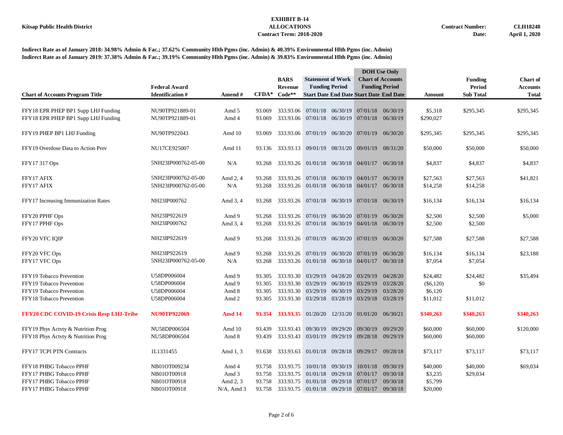|                                                                            |                                            |                   |                  | <b>BARS</b>                                          | <b>Statement of Work</b>                |                   |                                                                                       | <b>DOH</b> Use Only<br><b>Chart of Accounts</b> |                      | <b>Funding</b>       | <b>Chart of</b> |  |
|----------------------------------------------------------------------------|--------------------------------------------|-------------------|------------------|------------------------------------------------------|-----------------------------------------|-------------------|---------------------------------------------------------------------------------------|-------------------------------------------------|----------------------|----------------------|-----------------|--|
|                                                                            | <b>Federal Award</b>                       |                   |                  | <b>Revenue</b>                                       | <b>Funding Period</b>                   |                   |                                                                                       | <b>Funding Period</b>                           |                      | <b>Period</b>        | <b>Accounts</b> |  |
| <b>Chart of Accounts Program Title</b>                                     | <b>Identification #</b>                    | Amend #           | $CFDA*$          | $Code**$                                             |                                         |                   | <b>Start Date End Date Start Date End Date</b>                                        |                                                 | Amount               | <b>Sub Total</b>     | <b>Total</b>    |  |
| FFY18 EPR PHEP BP1 Supp LHJ Funding<br>FFY18 EPR PHEP BP1 Supp LHJ Funding | NU90TP921889-01<br>NU90TP921889-01         | Amd 5<br>Amd 4    | 93.069<br>93.069 | 333.93.06<br>333.93.06 07/01/18 06/30/19             |                                         |                   | 07/01/18 06/30/19 07/01/18 06/30/19<br>07/01/18 06/30/19                              |                                                 | \$5,318<br>\$290,027 | \$295,345            | \$295,345       |  |
| FFY19 PHEP BP1 LHJ Funding                                                 | NU90TP922043                               | Amd 10            | 93.069           |                                                      | 333.93.06 07/01/19 06/30/20 07/01/19    |                   |                                                                                       | 06/30/20                                        | \$295,345            | \$295,345            | \$295,345       |  |
| FFY19 Overdose Data to Action Prev                                         | NU17CE925007                               | Amd 11            |                  | 93.136 333.93.13 09/01/19 08/31/20 09/01/19          |                                         |                   |                                                                                       | 08/31/20                                        | \$50,000             | \$50,000             | \$50,000        |  |
| FFY17 317 Ops                                                              | 5NH23IP000762-05-00                        | N/A               | 93.268           |                                                      |                                         |                   | 333.93.26 01/01/18 06/30/18 04/01/17 06/30/18                                         |                                                 | \$4,837              | \$4,837              | \$4,837         |  |
| FFY17 AFIX<br>FFY17 AFIX                                                   | 5NH23IP000762-05-00<br>5NH23IP000762-05-00 | Amd 2, 4<br>N/A   | 93.268<br>93.268 |                                                      |                                         |                   | 333.93.26 07/01/18 06/30/19 04/01/17<br>333.93.26 01/01/18 06/30/18 04/01/17 06/30/18 | 06/30/19                                        | \$27,563<br>\$14,258 | \$27,563<br>\$14,258 | \$41,821        |  |
| FFY17 Increasing Immunization Rates                                        | NH23IP000762                               | Amd 3, 4          | 93.268           |                                                      |                                         |                   | 333.93.26 07/01/18 06/30/19 07/01/18 06/30/19                                         |                                                 | \$16,134             | \$16,134             | \$16,134        |  |
| FFY20 PPHF Ops<br>FFY17 PPHF Ops                                           | NH23IP922619<br>NH23IP000762               | Amd 9<br>Amd 3, 4 | 93.268<br>93.268 |                                                      | 333.93.26 07/01/19 06/30/20 07/01/19    |                   | 333.93.26 07/01/18 06/30/19 04/01/18 06/30/19                                         | 06/30/20                                        | \$2,500<br>\$2,500   | \$2,500<br>\$2,500   | \$5,000         |  |
| FFY20 VFC IQIP                                                             | NH23IP922619                               | Amd 9             | 93.268           | 333.93.26 07/01/19 06/30/20 07/01/19 06/30/20        |                                         |                   |                                                                                       |                                                 | \$27,588             | \$27,588             | \$27,588        |  |
| FFY20 VFC Ops                                                              | NH23IP922619                               | Amd 9             | 93.268           |                                                      |                                         |                   | 333.93.26 07/01/19 06/30/20 07/01/19                                                  | 06/30/20                                        | \$16,134             | \$16,134             | \$23,188        |  |
| FFY17 VFC Ops                                                              | 5NH23IP000762-05-00                        | N/A               | 93.268           |                                                      |                                         |                   | 333.93.26 01/01/18 06/30/18 04/01/17 06/30/18                                         |                                                 | \$7,054              | \$7,054              |                 |  |
| FFY19 Tobacco Prevention                                                   | U58DP006004                                | Amd 9             | 93.305           |                                                      | 333.93.30 03/29/19 04/28/20 03/29/19    |                   |                                                                                       | 04/28/20                                        | \$24,482             | \$24,482             | \$35,494        |  |
| FFY19 Tobacco Prevention                                                   | U58DP006004                                | Amd 9             | 93.305           | 333.93.30                                            | 03/29/19 06/30/19                       |                   | 03/29/19                                                                              | 03/28/20                                        | (\$6,120)            | \$0                  |                 |  |
| FFY19 Tobacco Prevention<br>FFY18 Tobacco Prevention                       | U58DP006004<br>U58DP006004                 | Amd 8<br>Amd 2    | 93.305<br>93.305 | 333.93.30                                            | 03/29/19<br>333.93.30 03/29/18 03/28/19 | 06/30/19          | 03/29/19<br>03/29/18 03/28/19                                                         | 03/28/20                                        | \$6,120<br>\$11,012  | \$11.012             |                 |  |
|                                                                            |                                            |                   |                  |                                                      |                                         |                   |                                                                                       |                                                 |                      |                      |                 |  |
| FFY20 CDC COVID-19 Crisis Resp LHJ-Tribe                                   | NU90TP922069                               | Amd 14            |                  | 93.354 333.93.35 01/20/20 12/31/20 01/01/20 06/30/21 |                                         |                   |                                                                                       |                                                 | \$340,263            | \$340,263            | \$340,263       |  |
| FFY19 Phys Actvty & Nutrition Prog                                         | NU58DP006504                               | Amd 10            | 93.439           | 333.93.43                                            |                                         | 09/30/19 09/29/20 | 09/30/19                                                                              | 09/29/20                                        | \$60,000             | \$60,000             | \$120,000       |  |
| FFY18 Phys Actyty & Nutrition Prog                                         | NU58DP006504                               | Amd 8             | 93.439           | 333.93.43                                            | 03/01/19 09/29/19                       |                   | 09/28/18 09/29/19                                                                     |                                                 | \$60,000             | \$60,000             |                 |  |
| FFY17 TCPI PTN Contracts                                                   | 1L1331455                                  | Amd 1, 3          | 93.638           | 333.93.63 01/01/18 09/28/18 09/29/17 09/28/18        |                                         |                   |                                                                                       |                                                 | \$73,117             | \$73,117             | \$73,117        |  |
| FFY18 PHBG Tobacco PPHF                                                    | NB01OT009234                               | Amd 4             | 93.758           | 333.93.75                                            |                                         | 10/01/18 09/30/19 |                                                                                       | 10/01/18 09/30/19                               | \$40,000             | \$40,000             | \$69,034        |  |
| FFY17 PHBG Tobacco PPHF                                                    | NB01OT00918                                | Amd 3             | 93.758           | 333.93.75                                            |                                         | 01/01/18 09/29/18 | 07/01/17                                                                              | 09/30/18                                        | \$3,235              | \$29,034             |                 |  |
| FFY17 PHBG Tobacco PPHF                                                    | NB01OT00918                                | Amd 2, 3          | 93.758           | 333.93.75                                            |                                         |                   | $01/01/18$ $09/29/18$ $07/01/17$                                                      | 09/30/18                                        | \$5,799              |                      |                 |  |
| FFY17 PHBG Tobacco PPHF                                                    | NB01OT00918                                | $N/A$ , Amd 3     | 93.758           |                                                      |                                         |                   | 333.93.75 01/01/18 09/29/18 07/01/17 09/30/18                                         |                                                 | \$20,000             |                      |                 |  |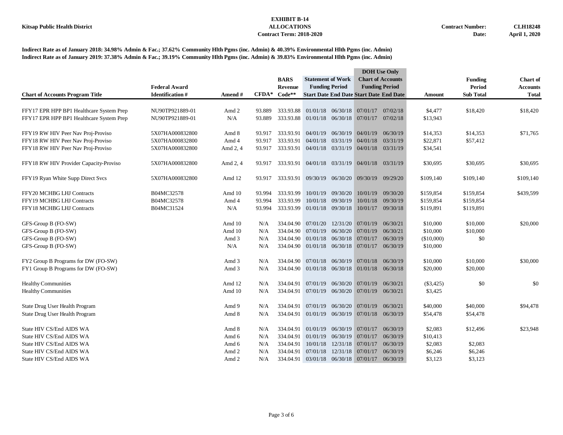|                                          |                        |          |                   |             |                                               |                   |                                     | <b>DOH</b> Use Only                            |            |                  |                 |
|------------------------------------------|------------------------|----------|-------------------|-------------|-----------------------------------------------|-------------------|-------------------------------------|------------------------------------------------|------------|------------------|-----------------|
|                                          |                        |          |                   | <b>BARS</b> | <b>Statement of Work</b>                      |                   |                                     | <b>Chart of Accounts</b>                       |            | <b>Funding</b>   | <b>Chart of</b> |
|                                          | <b>Federal Award</b>   |          |                   | Revenue     | <b>Funding Period</b>                         |                   |                                     | <b>Funding Period</b>                          |            | <b>Period</b>    | <b>Accounts</b> |
| <b>Chart of Accounts Program Title</b>   | <b>Identification#</b> | Amend#   | $\mathbf{CFDA}^*$ | $Code**$    |                                               |                   |                                     | <b>Start Date End Date Start Date End Date</b> | Amount     | <b>Sub Total</b> | <b>Total</b>    |
|                                          |                        |          |                   |             |                                               |                   |                                     |                                                |            |                  |                 |
| FFY17 EPR HPP BP1 Healthcare System Prep | NU90TP921889-01        | Amd 2    | 93.889            | 333.93.88   |                                               |                   | 01/01/18 06/30/18 07/01/17 07/02/18 |                                                | \$4,477    | \$18,420         | \$18,420        |
| FFY17 EPR HPP BP1 Healthcare System Prep | NU90TP921889-01        | N/A      | 93.889            |             | 333.93.88 01/01/18 06/30/18 07/01/17 07/02/18 |                   |                                     |                                                | \$13,943   |                  |                 |
| FFY19 RW HIV Peer Nav Proj-Proviso       | 5X07HA000832800        | Amd 8    | 93.917            | 333.93.91   | 04/01/19 06/30/19                             |                   | 04/01/19                            | 06/30/19                                       | \$14,353   | \$14,353         | \$71,765        |
| FFY18 RW HIV Peer Nav Proj-Proviso       | 5X07HA000832800        | Amd 4    | 93.917            | 333.93.91   | 04/01/18                                      | 03/31/19          | 04/01/18                            | 03/31/19                                       | \$22,871   | \$57,412         |                 |
| FFY18 RW HIV Peer Nav Proj-Proviso       | 5X07HA000832800        | Amd 2, 4 | 93.917            | 333.93.91   |                                               |                   | 04/01/18 03/31/19 04/01/18 03/31/19 |                                                | \$34,541   |                  |                 |
| FFY18 RW HIV Provider Capacity-Proviso   | 5X07HA000832800        | Amd 2, 4 | 93.917            |             | 333.93.91 04/01/18 03/31/19 04/01/18 03/31/19 |                   |                                     |                                                | \$30,695   | \$30,695         | \$30,695        |
|                                          |                        |          |                   |             |                                               |                   |                                     |                                                |            |                  |                 |
| FFY19 Ryan White Supp Direct Svcs        | 5X07HA000832800        | Amd 12   | 93.917            |             | 333.93.91 09/30/19 06/30/20 09/30/19          |                   |                                     | 09/29/20                                       | \$109,140  | \$109,140        | \$109,140       |
| FFY20 MCHBG LHJ Contracts                | B04MC32578             | Amd 10   | 93.994            | 333.93.99   |                                               | 10/01/19 09/30/20 | 10/01/19                            | 09/30/20                                       | \$159,854  | \$159,854        | \$439,599       |
| FFY19 MCHBG LHJ Contracts                | B04MC32578             | Amd 4    | 93.994            | 333.93.99   |                                               | 10/01/18 09/30/19 | 10/01/18                            | 09/30/19                                       | \$159,854  | \$159,854        |                 |
| FFY18 MCHBG LHJ Contracts                | B04MC31524             | N/A      | 93.994            | 333.93.99   | 01/01/18 09/30/18                             |                   | 10/01/17 09/30/18                   |                                                | \$119,891  | \$119,891        |                 |
| GFS-Group B (FO-SW)                      |                        | Amd 10   | N/A               |             | 334.04.90 07/01/20                            |                   | 12/31/20 07/01/19                   | 06/30/21                                       | \$10,000   | \$10,000         | \$20,000        |
| GFS-Group B (FO-SW)                      |                        | Amd 10   | N/A               | 334.04.90   | 07/01/19                                      | 06/30/20          | 07/01/19                            | 06/30/21                                       | \$10,000   | \$10,000         |                 |
| GFS-Group B (FO-SW)                      |                        | Amd 3    | N/A               | 334.04.90   | $01/01/18$ 06/30/18                           |                   | 07/01/17                            | 06/30/19                                       | (\$10,000) | \$0              |                 |
| GFS-Group B (FO-SW)                      |                        | N/A      | N/A               |             | 334.04.90 01/01/18 06/30/18 07/01/17 06/30/19 |                   |                                     |                                                | \$10,000   |                  |                 |
| FY2 Group B Programs for DW (FO-SW)      |                        | Amd 3    | N/A               | 334.04.90   | 07/01/18                                      | 06/30/19          | 07/01/18                            | 06/30/19                                       | \$10,000   | \$10,000         | \$30,000        |
| FY1 Group B Programs for DW (FO-SW)      |                        | Amd 3    | N/A               |             | 334.04.90 01/01/18 06/30/18 01/01/18 06/30/18 |                   |                                     |                                                | \$20,000   | \$20,000         |                 |
|                                          |                        |          |                   |             |                                               |                   |                                     |                                                |            |                  |                 |
| <b>Healthy Communities</b>               |                        | Amd 12   | N/A               | 334.04.91   | 07/01/19                                      | 06/30/20          | 07/01/19                            | 06/30/21                                       | (\$3,425)  | \$0              | \$0             |
| <b>Healthy Communities</b>               |                        | Amd 10   | N/A               | 334.04.91   |                                               |                   | 07/01/19 06/30/20 07/01/19 06/30/21 |                                                | \$3,425    |                  |                 |
| State Drug User Health Program           |                        | Amd 9    | N/A               | 334.04.91   | 07/01/19                                      | 06/30/20          | 07/01/19                            | 06/30/21                                       | \$40,000   | \$40,000         | \$94,478        |
| State Drug User Health Program           |                        | Amd 8    | N/A               | 334.04.91   |                                               |                   | 01/01/19 06/30/19 07/01/18 06/30/19 |                                                | \$54,478   | \$54,478         |                 |
| State HIV CS/End AIDS WA                 |                        | Amd 8    | N/A               | 334.04.91   | 01/01/19                                      | 06/30/19          | 07/01/17                            | 06/30/19                                       | \$2,083    | \$12,496         | \$23,948        |
| State HIV CS/End AIDS WA                 |                        | Amd 6    | N/A               | 334.04.91   | 01/01/19                                      | 06/30/19          | 07/01/17                            | 06/30/19                                       | \$10,413   |                  |                 |
| State HIV CS/End AIDS WA                 |                        | Amd 6    | N/A               | 334.04.91   | 10/01/18                                      | 12/31/18          | 07/01/17                            | 06/30/19                                       | \$2,083    | \$2,083          |                 |
| State HIV CS/End AIDS WA                 |                        | Amd 2    | N/A               | 334.04.91   | 07/01/18                                      | 12/31/18          | 07/01/17                            | 06/30/19                                       | \$6,246    | \$6,246          |                 |
| State HIV CS/End AIDS WA                 |                        | Amd 2    | N/A               | 334.04.91   |                                               |                   | $03/01/18$ $06/30/18$ $07/01/17$    | 06/30/19                                       | \$3,123    | \$3,123          |                 |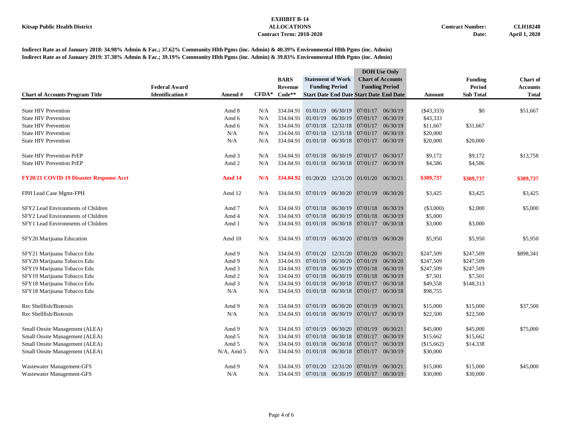|                                         |                        |               |         |                |                                               |                       |                                                | <b>DOH</b> Use Only      |             |                  |                 |
|-----------------------------------------|------------------------|---------------|---------|----------------|-----------------------------------------------|-----------------------|------------------------------------------------|--------------------------|-------------|------------------|-----------------|
|                                         |                        |               |         | <b>BARS</b>    | <b>Statement of Work</b>                      |                       |                                                | <b>Chart of Accounts</b> |             | <b>Funding</b>   | <b>Chart of</b> |
|                                         | <b>Federal Award</b>   |               |         | <b>Revenue</b> |                                               | <b>Funding Period</b> |                                                | <b>Funding Period</b>    |             | <b>Period</b>    | <b>Accounts</b> |
| <b>Chart of Accounts Program Title</b>  | <b>Identification#</b> | Amend #       | $CFDA*$ | $Code**$       |                                               |                       | <b>Start Date End Date Start Date End Date</b> |                          | Amount      | <b>Sub Total</b> | <b>Total</b>    |
|                                         |                        |               |         |                |                                               |                       |                                                |                          |             |                  |                 |
| <b>State HIV Prevention</b>             |                        | Amd 8         | N/A     | 334.04.91      |                                               |                       | $01/01/19$ $06/30/19$ 07/01/17                 | 06/30/19                 | ( \$43,333) | \$0              | \$51,667        |
| <b>State HIV Prevention</b>             |                        | Amd 6         | N/A     | 334.04.91      |                                               | $01/01/19$ $06/30/19$ | 07/01/17                                       | 06/30/19                 | \$43,333    |                  |                 |
| <b>State HIV Prevention</b>             |                        | Amd 6         | N/A     | 334.04.91      | 07/01/18                                      | 12/31/18              | 07/01/17                                       | 06/30/19                 | \$11,667    | \$31,667         |                 |
| <b>State HIV Prevention</b>             |                        | N/A           | N/A     | 334.04.91      | 07/01/18                                      |                       | 12/31/18 07/01/17                              | 06/30/19                 | \$20,000    |                  |                 |
| <b>State HIV Prevention</b>             |                        | N/A           | N/A     | 334.04.91      |                                               |                       | 01/01/18 06/30/18 07/01/17                     | 06/30/19                 | \$20,000    | \$20,000         |                 |
| <b>State HIV Prevention PrEP</b>        |                        | Amd 3         | N/A     | 334.04.91      |                                               |                       | 07/01/18 06/30/19 07/01/17                     | 06/30/17                 | \$9,172     | \$9,172          | \$13,758        |
| <b>State HIV Prevention PrEP</b>        |                        | Amd 2         | N/A     | 334.04.91      |                                               | 01/01/18 06/30/18     | 07/01/17                                       | 06/30/19                 | \$4,586     | \$4,586          |                 |
|                                         |                        |               |         |                |                                               |                       |                                                |                          |             |                  |                 |
| FY20/21 COVID-19 Disaster Response Acct |                        | <b>Amd 14</b> | N/A     | 334.04.92      |                                               |                       | 01/20/20 12/31/20 01/01/20 06/30/21            |                          | \$309,737   | \$309,737        | \$309,737       |
| FPH Lead Case Mgmt-FPH                  |                        | Amd 12        | N/A     | 334.04.93      |                                               |                       | 07/01/19 06/30/20 07/01/19                     | 06/30/20                 | \$3,425     | \$3,425          | \$3,425         |
|                                         |                        |               |         |                |                                               |                       |                                                |                          |             |                  |                 |
| SFY2 Lead Environments of Children      |                        | Amd 7         | N/A     | 334.04.93      |                                               |                       | $07/01/18$ $06/30/19$ 07/01/18                 | 06/30/19                 | (\$3,000)   | \$2,000          | \$5,000         |
| SFY2 Lead Environments of Children      |                        | Amd 4         | N/A     | 334.04.93      |                                               | 07/01/18 06/30/19     | 07/01/18                                       | 06/30/19                 | \$5,000     |                  |                 |
| SFY1 Lead Environments of Children      |                        | Amd 1         | N/A     |                | 334.04.93 01/01/18 06/30/18 07/01/17 06/30/18 |                       |                                                |                          | \$3,000     | \$3,000          |                 |
|                                         |                        |               |         |                |                                               |                       |                                                |                          |             |                  |                 |
| SFY20 Marijuana Education               |                        | Amd 10        | N/A     | 334.04.93      |                                               |                       | 07/01/19 06/30/20 07/01/19                     | 06/30/20                 | \$5,950     | \$5,950          | \$5,950         |
| SFY21 Marijuana Tobacco Edu             |                        | Amd 9         | N/A     | 334.04.93      |                                               |                       | 07/01/20 12/31/20 07/01/20                     | 06/30/21                 | \$247,509   | \$247,509        | \$898,341       |
| SFY20 Marijuana Tobacco Edu             |                        | Amd 9         | N/A     | 334.04.93      |                                               |                       | 07/01/19 06/30/20 07/01/19                     | 06/30/20                 | \$247,509   | \$247,509        |                 |
| SFY19 Marijuana Tobacco Edu             |                        | Amd 3         | N/A     | 334.04.93      |                                               | 07/01/18 06/30/19     | 07/01/18                                       | 06/30/19                 | \$247,509   | \$247,509        |                 |
| SFY19 Marijuana Tobacco Edu             |                        | Amd 2         | N/A     | 334.04.93      |                                               |                       | 07/01/18 06/30/19 07/01/18                     | 06/30/19                 | \$7,501     | \$7,501          |                 |
| SFY18 Marijuana Tobacco Edu             |                        | Amd 3         | N/A     | 334.04.93      |                                               | $01/01/18$ 06/30/18   | 07/01/17                                       | 06/30/18                 | \$49,558    | \$148,313        |                 |
| SFY18 Marijuana Tobacco Edu             |                        | N/A           | N/A     | 334.04.93      |                                               |                       | 01/01/18 06/30/18 07/01/17                     | 06/30/18                 | \$98,755    |                  |                 |
| Rec Shellfish/Biotoxin                  |                        | Amd 9         | N/A     | 334.04.93      |                                               |                       | 07/01/19 06/30/20 07/01/19                     | 06/30/21                 | \$15,000    | \$15,000         | \$37,500        |
| Rec Shellfish/Biotoxin                  |                        | N/A           | N/A     | 334.04.93      |                                               |                       | 01/01/18 06/30/19 07/01/17 06/30/19            |                          | \$22,500    | \$22,500         |                 |
|                                         |                        |               |         |                |                                               |                       |                                                |                          |             |                  |                 |
| Small Onsite Management (ALEA)          |                        | Amd 9         | N/A     | 334.04.93      | 07/01/19                                      |                       | 06/30/20 07/01/19                              | 06/30/21                 | \$45,000    | \$45,000         | \$75,000        |
| Small Onsite Management (ALEA)          |                        | Amd 5         | N/A     | 334.04.93      |                                               |                       | 07/01/18 06/30/18 07/01/17                     | 06/30/19                 | \$15,662    | \$15,662         |                 |
| Small Onsite Management (ALEA)          |                        | Amd 5         | N/A     | 334.04.93      |                                               |                       | 01/01/18 06/30/18 07/01/17                     | 06/30/19                 | (\$15,662)  | \$14,338         |                 |
| Small Onsite Management (ALEA)          |                        | $N/A$ , Amd 5 | N/A     | 334.04.93      |                                               |                       | 01/01/18 06/30/18 07/01/17                     | 06/30/19                 | \$30,000    |                  |                 |
| Wastewater Management-GFS               |                        | Amd 9         | N/A     | 334.04.93      | 07/01/20                                      | 12/31/20              | 07/01/19                                       | 06/30/21                 | \$15,000    | \$15,000         | \$45,000        |
| Wastewater Management-GFS               |                        | N/A           | N/A     |                | 334.04.93 07/01/18 06/30/19 07/01/17 06/30/19 |                       |                                                |                          | \$30,000    | \$30,000         |                 |
|                                         |                        |               |         |                |                                               |                       |                                                |                          |             |                  |                 |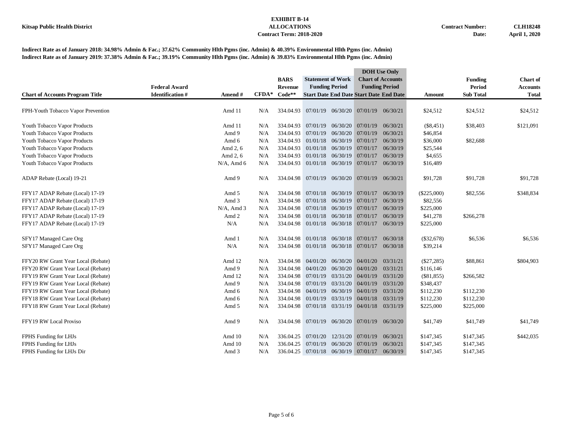|                                        |                        |               |         |                |                                      |          |                                                | <b>DOH</b> Use Only      |               |                  |                 |
|----------------------------------------|------------------------|---------------|---------|----------------|--------------------------------------|----------|------------------------------------------------|--------------------------|---------------|------------------|-----------------|
|                                        |                        |               |         | <b>BARS</b>    | <b>Statement of Work</b>             |          |                                                | <b>Chart of Accounts</b> |               | <b>Funding</b>   | <b>Chart</b> of |
|                                        | <b>Federal Award</b>   |               |         | <b>Revenue</b> | <b>Funding Period</b>                |          |                                                | <b>Funding Period</b>    |               | <b>Period</b>    | <b>Accounts</b> |
| <b>Chart of Accounts Program Title</b> | <b>Identification#</b> | Amend#        | $CFDA*$ | $Code**$       |                                      |          | <b>Start Date End Date Start Date End Date</b> |                          | Amount        | <b>Sub Total</b> | <b>Total</b>    |
|                                        |                        |               |         |                |                                      |          |                                                |                          |               |                  |                 |
| FPH-Youth Tobacco Vapor Prevention     |                        | Amd 11        | N/A     |                |                                      |          | 334.04.93 07/01/19 06/30/20 07/01/19 06/30/21  |                          | \$24,512      | \$24,512         | \$24,512        |
| Youth Tobacco Vapor Products           |                        | Amd 11        | N/A     | 334.04.93      | 07/01/19 06/30/20                    |          | 07/01/19                                       | 06/30/21                 | $(\$8,451)$   | \$38,403         | \$121,091       |
| Youth Tobacco Vapor Products           |                        | Amd 9         | N/A     | 334.04.93      | 07/01/19                             |          | 06/30/20 07/01/19                              | 06/30/21                 | \$46,854      |                  |                 |
| Youth Tobacco Vapor Products           |                        | Amd 6         | N/A     | 334.04.93      | 01/01/18                             |          | 06/30/19 07/01/17                              | 06/30/19                 | \$36,000      | \$82,688         |                 |
| Youth Tobacco Vapor Products           |                        | Amd 2, 6      | N/A     | 334.04.93      | 01/01/18                             |          | 06/30/19 07/01/17                              | 06/30/19                 | \$25,544      |                  |                 |
| Youth Tobacco Vapor Products           |                        | Amd 2, 6      | N/A     | 334.04.93      | 01/01/18                             |          | 06/30/19 07/01/17                              | 06/30/19                 | \$4,655       |                  |                 |
| Youth Tobacco Vapor Products           |                        | $N/A$ , Amd 6 | N/A     | 334.04.93      |                                      |          | 01/01/18 06/30/19 07/01/17                     | 06/30/19                 | \$16,489      |                  |                 |
| ADAP Rebate (Local) 19-21              |                        | Amd 9         | N/A     |                |                                      |          | 334.04.98 07/01/19 06/30/20 07/01/19 06/30/21  |                          | \$91,728      | \$91,728         | \$91,728        |
| FFY17 ADAP Rebate (Local) 17-19        |                        | Amd 5         | N/A     |                |                                      |          | 334.04.98 07/01/18 06/30/19 07/01/17 06/30/19  |                          | $(\$225,000)$ | \$82,556         | \$348,834       |
| FFY17 ADAP Rebate (Local) 17-19        |                        | Amd 3         | N/A     | 334.04.98      | 07/01/18 06/30/19 07/01/17           |          |                                                | 06/30/19                 | \$82,556      |                  |                 |
| FFY17 ADAP Rebate (Local) 17-19        |                        | $N/A$ , Amd 3 | N/A     | 334.04.98      |                                      |          | 07/01/18 06/30/19 07/01/17                     | 06/30/19                 | \$225,000     |                  |                 |
| FFY17 ADAP Rebate (Local) 17-19        |                        | Amd 2         | N/A     | 334.04.98      |                                      |          | 01/01/18 06/30/18 07/01/17                     | 06/30/19                 | \$41,278      | \$266,278        |                 |
| FFY17 ADAP Rebate (Local) 17-19        |                        | N/A           | N/A     |                | 334.04.98 01/01/18 06/30/18 07/01/17 |          |                                                | 06/30/19                 | \$225,000     |                  |                 |
| SFY17 Managed Care Org                 |                        | Amd 1         | N/A     |                | 334.04.98 01/01/18 06/30/18 07/01/17 |          |                                                | 06/30/18                 | $(\$32,678)$  | \$6,536          | \$6,536         |
| SFY17 Managed Care Org                 |                        | N/A           | N/A     |                |                                      |          | 334.04.98 01/01/18 06/30/18 07/01/17 06/30/18  |                          | \$39,214      |                  |                 |
| FFY20 RW Grant Year Local (Rebate)     |                        | Amd 12        | N/A     | 334.04.98      | 04/01/20                             | 06/30/20 | 04/01/20                                       | 03/31/21                 | $(\$27,285)$  | \$88,861         | \$804,903       |
| FFY20 RW Grant Year Local (Rebate)     |                        | Amd 9         | N/A     | 334.04.98      | 04/01/20                             |          | 06/30/20 04/01/20                              | 03/31/21                 | \$116,146     |                  |                 |
| FFY19 RW Grant Year Local (Rebate)     |                        | Amd 12        | N/A     | 334.04.98      |                                      |          | 07/01/19 03/31/20 04/01/19                     | 03/31/20                 | $(\$81,855)$  | \$266,582        |                 |
| FFY19 RW Grant Year Local (Rebate)     |                        | Amd 9         | N/A     | 334.04.98      |                                      |          | 07/01/19 03/31/20 04/01/19                     | 03/31/20                 | \$348,437     |                  |                 |
| FFY19 RW Grant Year Local (Rebate)     |                        | Amd 6         | N/A     | 334.04.98      |                                      |          | 04/01/19 06/30/19 04/01/19                     | 03/31/20                 | \$112,230     | \$112,230        |                 |
| FFY18 RW Grant Year Local (Rebate)     |                        | Amd 6         | N/A     | 334.04.98      |                                      |          | $01/01/19$ $03/31/19$ $04/01/18$               | 03/31/19                 | \$112,230     | \$112,230        |                 |
| FFY18 RW Grant Year Local (Rebate)     |                        | Amd 5         | N/A     | 334.04.98      |                                      |          | 07/01/18 03/31/19 04/01/18 03/31/19            |                          | \$225,000     | \$225,000        |                 |
| FFY19 RW Local Proviso                 |                        | Amd 9         | N/A     |                |                                      |          | 334.04.98 07/01/19 06/30/20 07/01/19           | 06/30/20                 | \$41,749      | \$41,749         | \$41,749        |
| FPHS Funding for LHJs                  |                        | Amd 10        | N/A     | 336.04.25      | 07/01/20                             |          | 12/31/20 07/01/19                              | 06/30/21                 | \$147,345     | \$147,345        | \$442,035       |
| FPHS Funding for LHJs                  |                        | Amd 10        | N/A     | 336.04.25      | 07/01/19                             | 06/30/20 | 07/01/19                                       | 06/30/21                 | \$147,345     | \$147,345        |                 |
| FPHS Funding for LHJs Dir              |                        | Amd 3         | N/A     |                | 336.04.25 07/01/18 06/30/19 07/01/17 |          |                                                | 06/30/19                 | \$147,345     | \$147,345        |                 |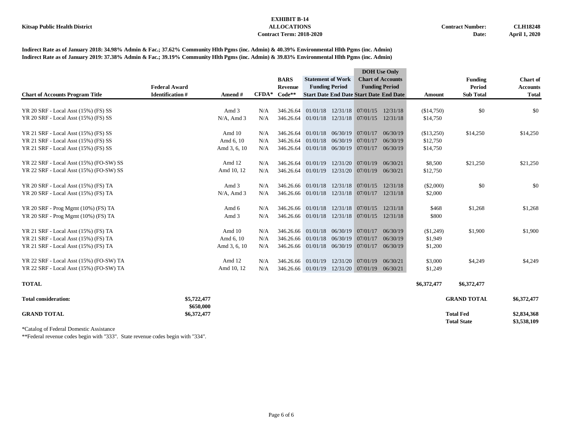**Indirect Rate as of January 2018: 34.98% Admin & Fac.; 37.62% Community Hlth Pgms (inc. Admin) & 40.39% Environmental Hlth Pgms (inc. Admin) Indirect Rate as of January 2019: 37.38% Admin & Fac.; 39.19% Community Hlth Pgms (inc. Admin) & 39.83% Environmental Hlth Pgms (inc. Admin)**

|                                         |                          |               |         |                    |                          |          |                                                | <b>DOH</b> Use Only      |             |                                        |                            |
|-----------------------------------------|--------------------------|---------------|---------|--------------------|--------------------------|----------|------------------------------------------------|--------------------------|-------------|----------------------------------------|----------------------------|
|                                         |                          |               |         | <b>BARS</b>        | <b>Statement of Work</b> |          |                                                | <b>Chart of Accounts</b> |             | <b>Funding</b>                         | Chart of                   |
|                                         | <b>Federal Award</b>     |               |         | Revenue            | <b>Funding Period</b>    |          |                                                | <b>Funding Period</b>    |             | <b>Period</b>                          | <b>Accounts</b>            |
| <b>Chart of Accounts Program Title</b>  | <b>Identification#</b>   | Amend#        | $CFDA*$ | $Code**$           |                          |          | <b>Start Date End Date Start Date End Date</b> |                          | Amount      | <b>Sub Total</b>                       | <b>Total</b>               |
|                                         |                          |               |         |                    |                          |          |                                                |                          |             |                                        |                            |
| YR 20 SRF - Local Asst (15%) (FS) SS    |                          | Amd 3         | N/A     | 346.26.64          | 01/01/18                 |          | 12/31/18 07/01/15 12/31/18                     |                          | (\$14,750)  | \$0                                    | \$0                        |
| YR 20 SRF - Local Asst (15%) (FS) SS    |                          | $N/A$ , Amd 3 | N/A     | 346.26.64          | 01/01/18                 |          | 12/31/18 07/01/15 12/31/18                     |                          | \$14,750    |                                        |                            |
| YR 21 SRF - Local Asst (15%) (FS) SS    |                          | Amd 10        | N/A     | 346.26.64          | 01/01/18                 |          | 06/30/19 07/01/17                              | 06/30/19                 | (\$13,250)  | \$14,250                               | \$14,250                   |
| YR 21 SRF - Local Asst (15%) (FS) SS    |                          | Amd 6, 10     | N/A     | 346.26.64          | 01/01/18                 | 06/30/19 | 07/01/17                                       | 06/30/19                 | \$12,750    |                                        |                            |
| YR 21 SRF - Local Asst (15%) (FS) SS    |                          | Amd 3, 6, 10  | N/A     | 346.26.64          |                          |          | 01/01/18 06/30/19 07/01/17                     | 06/30/19                 | \$14,750    |                                        |                            |
| YR 22 SRF - Local Asst (15%) (FO-SW) SS |                          | Amd 12        | N/A     | 346.26.64 01/01/19 |                          |          | 12/31/20 07/01/19                              | 06/30/21                 | \$8,500     | \$21,250                               | \$21,250                   |
| YR 22 SRF - Local Asst (15%) (FO-SW) SS |                          | Amd 10, 12    | N/A     | 346.26.64          | 01/01/19                 |          | 12/31/20 07/01/19                              | 06/30/21                 | \$12,750    |                                        |                            |
|                                         |                          |               |         |                    |                          |          |                                                |                          |             |                                        |                            |
| YR 20 SRF - Local Asst (15%) (FS) TA    |                          | Amd 3         | N/A     |                    | 346.26.66 01/01/18       |          | 12/31/18 07/01/15                              | 12/31/18                 | $(\$2,000)$ | \$0                                    | \$0                        |
| YR 20 SRF - Local Asst (15%) (FS) TA    |                          | $N/A$ , Amd 3 | N/A     |                    | 346.26.66 01/01/18       |          | 12/31/18 07/01/17                              | 12/31/18                 | \$2,000     |                                        |                            |
| YR 20 SRF - Prog Mgmt (10%) (FS) TA     |                          | Amd 6         | N/A     |                    | 346.26.66 01/01/18       |          | 12/31/18 07/01/15 12/31/18                     |                          | \$468       | \$1,268                                | \$1,268                    |
| YR 20 SRF - Prog Mgmt (10%) (FS) TA     |                          | Amd 3         | N/A     |                    | 346.26.66 01/01/18       |          | 12/31/18 07/01/15                              | 12/31/18                 | \$800       |                                        |                            |
|                                         |                          |               |         |                    |                          |          |                                                |                          |             |                                        |                            |
| YR 21 SRF - Local Asst (15%) (FS) TA    |                          | Amd 10        | N/A     |                    | 346.26.66 01/01/18       |          | 06/30/19 07/01/17                              | 06/30/19                 | $(\$1,249)$ | \$1,900                                | \$1,900                    |
| YR 21 SRF - Local Asst (15%) (FS) TA    |                          | Amd 6, 10     | N/A     | 346.26.66          | 01/01/18                 | 06/30/19 | 07/01/17                                       | 06/30/19                 | \$1,949     |                                        |                            |
| YR 21 SRF - Local Asst (15%) (FS) TA    |                          | Amd 3, 6, 10  | N/A     |                    |                          |          | 346.26.66 01/01/18 06/30/19 07/01/17 06/30/19  |                          | \$1,200     |                                        |                            |
| YR 22 SRF - Local Asst (15%) (FO-SW) TA |                          | Amd 12        | N/A     | 346.26.66 01/01/19 |                          |          | 12/31/20 07/01/19                              | 06/30/21                 | \$3,000     | \$4,249                                | \$4,249                    |
| YR 22 SRF - Local Asst (15%) (FO-SW) TA |                          | Amd 10, 12    | N/A     |                    | 346.26.66 01/01/19       |          | 12/31/20 07/01/19 06/30/21                     |                          | \$1,249     |                                        |                            |
| <b>TOTAL</b>                            |                          |               |         |                    |                          |          |                                                |                          | \$6,372,477 | \$6,372,477                            |                            |
| <b>Total consideration:</b>             | \$5,722,477<br>\$650,000 |               |         |                    |                          |          |                                                |                          |             | <b>GRAND TOTAL</b>                     | \$6,372,477                |
| <b>GRAND TOTAL</b>                      | \$6,372,477              |               |         |                    |                          |          |                                                |                          |             | <b>Total Fed</b><br><b>Total State</b> | \$2,834,368<br>\$3,538,109 |
|                                         |                          |               |         |                    |                          |          |                                                |                          |             |                                        |                            |

\*Catalog of Federal Domestic Assistance

\*\*Federal revenue codes begin with "333". State revenue codes begin with "334".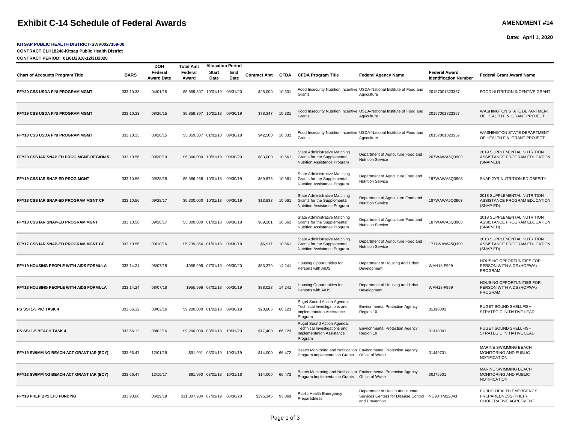# **Exhibit C-14 Schedule of Federal Awards AMENDMENT #14** AMENDMENT #14

#### **KITSAP PUBLIC HEALTH DISTRICT-SWV0027359-00**

**CONTRACT CLH18248-Kitsap Public Health District**

**Date: April 1, 2020**

| Page 1 of 3 |  |  |
|-------------|--|--|
|             |  |  |

| CONTRACT PERIOD: 01/01/2018-12/31/2020   |             |                              |                                |                             |                             |                     |        |                                                                                                    |                                                                                                       |                                                      |                                                                                |  |
|------------------------------------------|-------------|------------------------------|--------------------------------|-----------------------------|-----------------------------|---------------------|--------|----------------------------------------------------------------------------------------------------|-------------------------------------------------------------------------------------------------------|------------------------------------------------------|--------------------------------------------------------------------------------|--|
|                                          |             | <b>DOH</b>                   | <b>Total Amt</b>               |                             | <b>Allocation Period</b>    |                     |        |                                                                                                    |                                                                                                       |                                                      |                                                                                |  |
| <b>Chart of Accounts Program Title</b>   | <b>BARS</b> | Federal<br><b>Award Date</b> | Federal<br>Award               | Start<br>Date               | End<br>Date                 | <b>Contract Amt</b> | CFDA   | <b>CFDA Program Title</b>                                                                          | <b>Federal Agency Name</b>                                                                            | <b>Federal Award</b><br><b>Identification Number</b> | <b>Federal Grant Award Name</b>                                                |  |
| FFY20 CSS USDA FINI PROGRAM MGMT         | 333.10.33   | 04/01/15                     | \$5,859,307                    |                             | 10/01/19 03/31/20           | \$25,000            | 10.331 | Grants                                                                                             | Food Insecurity Nutrition Incentive USDA-National Institute of Food and<br>Agriculture                | 20157001823357                                       | FOOD NUTRITION INCENTIVE GRANT                                                 |  |
| FFY19 CSS USDA FINI PROGRAM MGMT         | 333.10.33   | 08/26/15                     | \$5,859,307 10/01/18 09/30/19  |                             |                             | \$78,347            | 10.331 | Grants                                                                                             | Food Insecurity Nutrition Incentive USDA-National Institute of Food and<br>Agriculture                | 20157001823357                                       | WASHINGTON STATE DEPARTMENT<br>OF HEALTH FINI GRANT PROJECT                    |  |
| FFY18 CSS USDA FINI PROGRAM MGMT         | 333.10.33   | 08/26/15                     | \$5,859,307 01/01/18 09/30/18  |                             |                             | \$42,500            | 10.331 | Grants                                                                                             | Food Insecurity Nutrition Incentive USDA-National Institute of Food and<br>Agriculture                | 20157001823357                                       | WASHINGTON STATE DEPARTMENT<br>OF HEALTH FINI GRANT PROJECT                    |  |
| FFY20 CSS IAR SNAP ED PROG MGNT-REGION 5 | 333.10.56   | 09/30/19                     | \$5,300,000 10/01/19 09/30/20  |                             |                             | \$83,000            | 10.561 | State Administrative Matching<br>Grants for the Supplemental<br>Nutrition Assistance Program       | Department of Agriculture Food and<br><b>Nutrition Service</b>                                        | 207WAWA5Q3903                                        | 2019 SUPPLEMENTAL NUTRITION<br>ASSISTANCE PROGRAM EDUCATION<br>(SNAP-ED)       |  |
| FFY19 CSS IAR SNAP-ED PROG MGNT          | 333.10.56   | 09/28/18                     | \$5,386,268 10/01/18 09/30/19  |                             |                             | \$69,875            | 10.561 | State Administrative Matching<br>Grants for the Supplemental<br>Nutrition Assistance Program       | Department of Agriculture Food and<br><b>Nutrition Service</b>                                        | 197WAWA5Q3903                                        | SNAP 2YR NUTRITION ED OBESITY                                                  |  |
| FFY18 CSS IAR SNAP-ED PROGRAM MGNT CF    | 333.10.56   | 09/28/17                     | \$5.300,000 10/01/18 09/30/19  |                             |                             | \$13,833            | 10.561 | State Administrative Matching<br>Grants for the Supplemental<br>Nutrition Assistance Program       | Department of Agriculture Food and<br><b>Nutrition Service</b>                                        | 187WAWA5Q3903                                        | 2018 SUPPLEMENTAL NUTRITION<br>ASSISTANCE PROGRAM EDUCATION<br>(SNAP-ED)       |  |
| FFY18 CSS IAR SNAP-ED PROGRAM MGNT       | 333.10.56   | 09/28/17                     | \$5,300,000 01/01/18 09/30/18  |                             |                             | \$69,281            | 10.561 | State Administrative Matching<br>Grants for the Supplemental<br>Nutrition Assistance Program       | Department of Agriculture Food and<br><b>Nutrition Service</b>                                        | 187WAWA5Q3903                                        | 2018 SUPPLEMENTAL NUTRITION<br>ASSISTANCE PROGRAM EDUCATION<br>(SNAP-ED)       |  |
| FFY17 CSS IAR SNAP-ED PROGRAM MGNT CF    | 333.10.56   | 09/10/16                     | \$5,739,856 01/01/18 09/30/18  |                             |                             | \$6,917             | 10.561 | State Administrative Matching<br>Grants for the Supplemental<br>Nutrition Assistance Program       | Department of Agriculture Food and<br><b>Nutrition Service</b>                                        | 1717WAWA5Q390                                        | 2018 SUPPLEMENTAL NUTRITION<br>ASSISTANCE PROGRAM EDUCATION<br>(SNAP-ED)       |  |
| FFY19 HOUSING PEOPLE WITH AIDS FORMULA   | 333.14.24   | 08/07/18                     |                                | \$955,996 07/01/19 06/30/20 |                             | \$53,379            | 14.241 | <b>Housing Opportunities for</b><br>Persons with AIDS                                              | Department of Housing and Urban<br>Development                                                        | WAH18-F999                                           | HOUSING OPPORTUNITIES FOR<br>PERSON WITH AIDS (HOPWA)<br>PROGRAM               |  |
| FFY18 HOUSING PEOPLE WITH AIDS FORMULA   | 333.14.24   | 08/07/18                     |                                |                             | \$955,996 07/01/18 06/30/19 | \$88,023            | 14.241 | Housing Opportunities for<br>Persons with AIDS                                                     | Department of Housing and Urban<br>Development                                                        | WAH18-F999                                           | <b>HOUSING OPPORTUNITIES FOR</b><br>PERSON WITH AIDS (HOPWA)<br>PROGRAM        |  |
| PS SSI 1-5 PIC TASK 4                    | 333.66.12   | 08/02/16                     | \$9,200,000 01/01/18 09/30/19  |                             |                             | \$28,805            | 66.123 | Puget Sound Action Agenda:<br>Technical Investigations and<br>Implementation Assistance<br>Program | <b>Environmental Protection Agency</b><br>Region 10                                                   | 01J18001                                             | PUGET SOUND SHELLFISH<br><b>STRATEGIC INITIATIVE LEAD</b>                      |  |
| PS SSI 1-5 BEACH TASK 4                  | 333.66.12   | 08/02/16                     | \$9,200,000 03/01/18 10/31/20  |                             |                             | \$17,400            | 66.123 | Puget Sound Action Agenda:<br>Technical Investigations and<br>Implementation Assistance<br>Program | <b>Environmental Protection Agency</b><br>Region 10                                                   | 01J18001                                             | PUGET SOUND SHELLFISH<br>STRATEGIC INITIATIVE LEAD                             |  |
| FFY19 SWIMMING BEACH ACT GRANT IAR (ECY) | 333.66.47   | 12/01/18                     |                                |                             | \$91,991 03/01/19 10/31/19  | \$14,000            | 66.472 | Program Implementation Grants  Office of Water                                                     | Beach Monitoring and Notificaiton Environmental Protection Agency                                     | 01J49701                                             | MARINE SWIMMING BEACH<br>MONITORING AND PUBLIC<br><b>NOTIFICATION</b>          |  |
| FFY18 SWIMMING BEACH ACT GRANT IAR (ECY) | 333.66.47   | 12/15/17                     |                                |                             | \$91,990 03/01/18 10/31/18  | \$14,000            | 66.472 | Program Implementation Grants  Office of Water                                                     | Beach Monitoring and Notificaiton Environmental Protection Agency                                     | 00J75501                                             | MARINE SWIMMING BEACH<br>MONITORING AND PUBLIC<br><b>NOTIFICATION</b>          |  |
| FFY19 PHEP BP1 LHJ FUNDING               | 333.93.06   | 06/29/19                     | \$11,307,904 07/01/19 06/30/20 |                             |                             | \$295,345           | 93.069 | <b>Public Health Emergency</b><br>Preparedness                                                     | Department of Health and Human<br>Services Centers for Disease Control NU90TP922043<br>and Prevention |                                                      | PUBLIC HEALTH EMERGENCY<br>PREPAREDNESS (PHEP)<br><b>COOPERATIVE AGREEMENT</b> |  |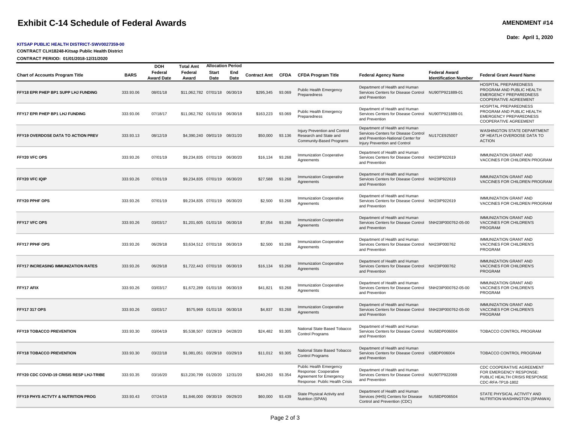## **Exhibit C-14 Schedule of Federal Awards AMENDMENT #14 AMENDMENT #14**

**Chart of Accounts Program Title BARS Federal** 

**DOH Total Amt**

**FFY18 EPR PHEP BP1 SUPP LHJ FUNDING** 333.93.06 08/01/18 \$11,062,782 07/01/18 06/30/19 \$295,345 93.069 Public Health Emergency

**FFY17 EPR PHEP BP1 LHJ FUNDING** 333.93.06 07/18/17 \$11,062,782 01/01/18 06/30/18 \$163,223 93.069 Public Health Emergency

**FFY20 VFC OPS** 333.93.26 07/01/19 \$9,234,835 07/01/19 06/30/20 \$16,134 93.268 Immunization Cooperative

**FFY20 VFC IQIP** 333.93.26 07/01/19 \$9,234,835 07/01/19 06/30/20 \$27,588 93.268 Immunization Cooperative

**FFY20 PPHF OPS** 333.93.26 07/01/19 \$9,234,835 07/01/19 06/30/20 \$2,500 93.268 Immunization Cooperative

**Federal Award**

**Start Date**

**Allocation Period**

**End** 

**Date Contract Amt CFDA CFDA Program Title Federal Agency Name Federal Award** 

Department of Health and Human

Department of Health and Human

Department of Health and Human Services-Centers for Disease Control and Prevention-National Center for Injury Prevention and Control

Department of Health and Human

Department of Health and Human

Department of Health and Human

and Prevention

and Prevention

and Prevention

and Prevention

and Prevention

Services Centers for Disease Control NU90TP921889-01

Services Centers for Disease Control NU90TP921889-01

Services Centers for Disease Control NH23IP922619

Services Centers for Disease Control NH23IP922619

Services Centers for Disease Control NH23IP922619

NU17CE925007

Preparedness

Preparedness

**Agreements** 

**Agreements** 

Agreements

Injury Prevention and Control Research and State and Community-Based Programs

**Award Date**

**FFY19 OVERDOSE DATA TO ACTION PREV** 333.93.13 08/12/19 \$4,390,240 09/01/19 08/31/20 \$50,000 93.136

#### **KITSAP PUBLIC HEALTH DISTRICT-SWV0027359-00**

**CONTRACT CLH18248-Kitsap Public Health District**

**CONTRACT PERIOD: 01/01/2018-12/31/2020**

**Identification Number Federal Grant Award Name**

ACTION

NH23IP922619 IMMUNIZATION GRANT AND VACCINES FOR CHILDREN PROGRAM

HOSPITAL PREPAREDNESS PROGRAM AND PUBLIC HEALTH EMERGENCY PREPAREDNESS COOPERATIVE AGREEMENT

HOSPITAL PREPAREDNESS PROGRAM AND PUBLIC HEALTH EMERGENCY PREPAREDNESS COOPERATIVE AGREEMENT

IMMUNIZATION GRANT AND VACCINES FOR CHILDREN PROGRAM

IMMUNIZATION GRANT AND VACCINES FOR CHILDREN PROGRAM

WASHINGTON STATE DEPARTMENT OF HEATLH OVERDOSE DATA TO

**Date: April 1, 2020**

| <b>FFY17 VFC OPS</b>                            | 333.93.26 | 03/03/17 | \$1,201,605 01/01/18 06/30/18 |          | \$7,054         | 93.268 | <b>Immunization Cooperative</b><br>Agreements                                                                        | Department of Health and Human<br>Services Centers for Disease Control 5NH23IP000762-05-00<br>and Prevention         | <b>IMMUNIZATION GRANT AND</b><br><b>VACCINES FOR CHILDREN'S</b><br>PROGRAM                                        |
|-------------------------------------------------|-----------|----------|-------------------------------|----------|-----------------|--------|----------------------------------------------------------------------------------------------------------------------|----------------------------------------------------------------------------------------------------------------------|-------------------------------------------------------------------------------------------------------------------|
| <b>FFY17 PPHF OPS</b>                           | 333.93.26 | 06/29/18 | \$3.634.512 07/01/18 06/30/19 |          | \$2,500         | 93.268 | <b>Immunization Cooperative</b><br>Aareements                                                                        | Department of Health and Human<br>Services Centers for Disease Control NH23IP000762<br>and Prevention                | <b>IMMUNIZATION GRANT AND</b><br><b>VACCINES FOR CHILDREN'S</b><br>PROGRAM                                        |
| <b>FFY17 INCREASING IMMUNIZATION RATES</b>      | 333.93.26 | 06/29/18 | \$1,722,443 07/01/18 06/30/19 |          | \$16,134        | 93.268 | <b>Immunization Cooperative</b><br>Aareements                                                                        | Department of Health and Human<br>Services Centers for Disease Control NH23IP000762<br>and Prevention                | <b>IMMUNIZATION GRANT AND</b><br><b>VACCINES FOR CHILDREN'S</b><br>PROGRAM                                        |
| FFY17 AFIX                                      | 333.93.26 | 03/03/17 | \$1,672,289 01/01/18 06/30/19 |          | \$41,821        | 93.268 | Immunization Cooperative<br>Agreements                                                                               | Department of Health and Human<br>Services Centers for Disease Control 5NH23IP000762-05-00<br>and Prevention         | <b>IMMUNIZATION GRANT AND</b><br>VACCINES FOR CHILDREN'S<br>PROGRAM                                               |
| <b>FFY17 317 OPS</b>                            | 333.93.26 | 03/03/17 | \$575,969 01/01/18 06/30/18   |          | \$4,837         | 93.268 | <b>Immunization Cooperative</b><br>Agreements                                                                        | Department of Health and Human<br>Services Centers for Disease Control 5NH23IP000762-05-00<br>and Prevention         | <b>IMMUNIZATION GRANT AND</b><br><b>VACCINES FOR CHILDREN'S</b><br>PROGRAM                                        |
| <b>FFY19 TOBACCO PREVENTION</b>                 | 333.93.30 | 03/04/19 | \$5,538,507 03/29/19 04/28/20 |          | \$24,482        | 93.305 | National State Based Tobacco<br><b>Control Programs</b>                                                              | Department of Health and Human<br>Services Centers for Disease Control NU58DP006004<br>and Prevention                | TOBACCO CONTROL PROGRAM                                                                                           |
| <b>FFY18 TOBACCO PREVENTION</b>                 | 333.93.30 | 03/22/18 | \$1,081,051 03/29/18 03/29/19 |          | \$11,012 93.305 |        | National State Based Tobacco<br><b>Control Programs</b>                                                              | Department of Health and Human<br>Services Centers for Disease Control U58DP006004<br>and Prevention                 | <b>TOBACCO CONTROL PROGRAM</b>                                                                                    |
| <b>FFY20 CDC COVID-19 CRISIS RESP LHJ-TRIBE</b> | 333.93.35 | 03/16/20 | \$13,230,799 01/20/20         | 12/31/20 | \$340,263       | 93.354 | <b>Public Health Emergency</b><br>Response: Cooperative<br>Agreement for Emergency<br>Response: Public Health Crisis | Department of Health and Human<br>Services Centers for Disease Control NU90TP922069<br>and Prevention                | <b>CDC COOPERATIVE AGREEMENT</b><br>FOR EMERGENCY RESPONSE:<br>PUBLIC HEALTH CRISIS RESPONSE<br>CDC-RFA-TP18-1802 |
| <b>FFY19 PHYS ACTVTY &amp; NUTRITION PROG</b>   | 333.93.43 | 07/24/19 | \$1,846,000 09/30/19 09/29/20 |          | \$60,000        | 93.439 | State Physical Activity and<br>Nutrition (SPAN)                                                                      | Department of Health and Human<br>Services (HHS) Centers for Disease<br>NU58DP006504<br>Control and Prevention (CDC) | STATE PHYSICAL ACTIVITY AND<br>NUTRITION-WASHINGTON (SPANWA)                                                      |
|                                                 |           |          |                               |          |                 |        |                                                                                                                      |                                                                                                                      |                                                                                                                   |